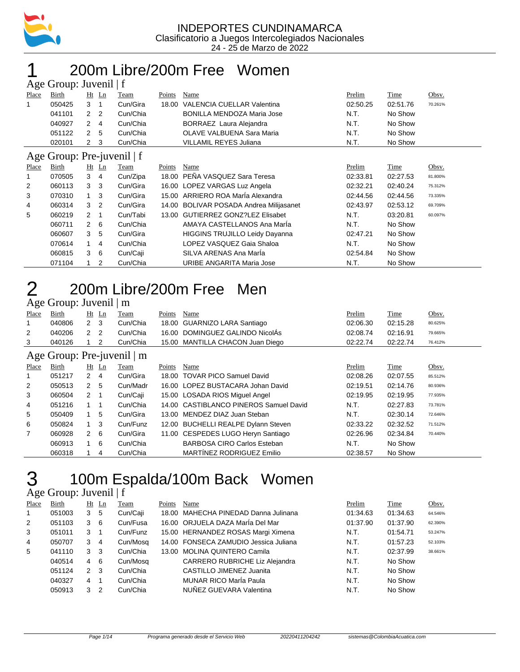

### 200m Libre/200m Free Women

|       | Age Group: Juvenil   f     |                |                |          |               |                                          |          |          |         |  |  |  |  |
|-------|----------------------------|----------------|----------------|----------|---------------|------------------------------------------|----------|----------|---------|--|--|--|--|
| Place | Birth                      |                | $Ht$ Ln        | Team     | <b>Points</b> | Name                                     | Prelim   | Time     | Obsv.   |  |  |  |  |
| 1     | 050425                     | 3              | -1             | Cun/Gira | 18.00         | VALENCIA CUELLAR Valentina               | 02:50.25 | 02:51.76 | 70.261% |  |  |  |  |
|       | 041101                     | 2 <sub>2</sub> |                | Cun/Chia |               | <b>BONILLA MENDOZA Maria Jose</b>        | N.T.     | No Show  |         |  |  |  |  |
|       | 040927                     | $\mathbf{2}$   | $\overline{4}$ | Cun/Chia |               | BORRAEZ Laura Alejandra                  | N.T.     | No Show  |         |  |  |  |  |
|       | 051122                     | $\overline{2}$ | 5              | Cun/Chia |               | OLAVE VALBUENA Sara Maria                | N.T.     | No Show  |         |  |  |  |  |
|       | 020101                     | $\overline{2}$ | 3              | Cun/Chia |               | <b>VILLAMIL REYES Juliana</b>            | N.T.     | No Show  |         |  |  |  |  |
|       | Age Group: Pre-juvenil   f |                |                |          |               |                                          |          |          |         |  |  |  |  |
| Place | Birth                      | Ht             | Ln             | Team     | Points        | Name                                     | Prelim   | Time     | Obsv.   |  |  |  |  |
| 1     | 070505                     | 3              | 4              | Cun/Zipa | 18.00         | PEÑA VASQUEZ Sara Teresa                 | 02:33.81 | 02:27.53 | 81.800% |  |  |  |  |
| 2     | 060113                     | 3              | 3              | Cun/Gira |               | 16.00 LOPEZ VARGAS Luz Angela            | 02:32.21 | 02:40.24 | 75.312% |  |  |  |  |
| 3     | 070310                     | 1              | 3              | Cun/Gira |               | 15.00 ARRIERO ROA MarÍa Alexandra        | 02:44.56 | 02:44.56 | 73.335% |  |  |  |  |
| 4     | 060314                     | 3              | $\overline{2}$ | Cun/Gira | 14.00         | <b>BOLIVAR POSADA Andrea Milijasanet</b> | 02:43.97 | 02:53.12 | 69.709% |  |  |  |  |
| 5     | 060219                     | $\overline{2}$ | $\mathbf 1$    | Cun/Tabi |               | 13.00 GUTIERREZ GONZ?LEZ Elisabet        | N.T.     | 03:20.81 | 60.097% |  |  |  |  |
|       | 060711                     | $\mathbf{2}$   | 6              | Cun/Chia |               | AMAYA CASTELLANOS Ana Maria              | N.T.     | No Show  |         |  |  |  |  |
|       | 060607                     | 3              | 5              | Cun/Gira |               | <b>HIGGINS TRUJILLO Leidy Dayanna</b>    | 02:47.21 | No Show  |         |  |  |  |  |
|       | 070614                     | 1              | 4              | Cun/Chia |               | LOPEZ VASQUEZ Gaia Shaloa                | N.T.     | No Show  |         |  |  |  |  |
|       | 060815                     | 3              | 6              | Cun/Caji |               | SILVA ARENAS Ana Maria                   | 02:54.84 | No Show  |         |  |  |  |  |
|       | 071104                     |                | 2              | Cun/Chia |               | URIBE ANGARITA Maria Jose                | N.T.     | No Show  |         |  |  |  |  |

## 2 200m Libre/200m Free Men

#### Age Group: Juvenil | m

| ັ                          |        |              |         |          |        |                                        |          |          |         |  |  |
|----------------------------|--------|--------------|---------|----------|--------|----------------------------------------|----------|----------|---------|--|--|
| Place                      | Birth  |              | $Ht$ Ln | Team     | Points | Name                                   | Prelim   | Time     | Obsv.   |  |  |
|                            | 040806 | 2            | - 3     | Cun/Chia |        | 18.00 GUARNIZO LARA Santiago           | 02:06.30 | 02:15.28 | 80.625% |  |  |
| 2                          | 040206 | 2            | -2      | Cun/Chia |        | 16.00 DOMINGUEZ GALINDO NicolÁs        | 02:08.74 | 02:16.91 | 79.665% |  |  |
| 3                          | 040126 |              | 2       | Cun/Chia |        | 15.00 MANTILLA CHACON Juan Diego       | 02:22.74 | 02:22.74 | 76.412% |  |  |
| Age Group: Pre-juvenil   m |        |              |         |          |        |                                        |          |          |         |  |  |
|                            |        |              |         |          |        |                                        |          |          |         |  |  |
| Place                      | Birth  |              | $Ht$ Ln | Team     | Points | Name                                   | Prelim   | Time     | Obsv.   |  |  |
|                            | 051217 | 2            | -4      | Cun/Gira |        | 18.00 TOVAR PICO Samuel David          | 02:08.26 | 02:07.55 | 85.512% |  |  |
| 2                          | 050513 | $\mathbf{2}$ | -5      | Cun/Madr |        | 16.00 LOPEZ BUSTACARA Johan David      | 02:19.51 | 02:14.76 | 80.936% |  |  |
| 3                          | 060504 | 2            |         | Cun/Caji |        | 15.00 LOSADA RIOS Miguel Angel         | 02:19.95 | 02:19.95 | 77.935% |  |  |
| 4                          | 051216 |              |         | Cun/Chia |        | 14.00 CASTIBLANCO PINEROS Samuel David | N.T.     | 02:27.83 | 73.781% |  |  |

|    | 0.7121 |     |    | <b>VUITULIA</b> | סט.דו CHU שטום און דעסורוסטיד       | .        | <b>UL.LI.UU</b> | 19.19170 |
|----|--------|-----|----|-----------------|-------------------------------------|----------|-----------------|----------|
|    | 050409 |     | -5 | Cun/Gira        | 13.00 MENDEZ DIAZ Juan Steban       | N.T.     | 02:30.14        | 72.646%  |
| 6. | 050824 |     |    | Cun/Funz        | 12.00 BUCHELLI REALPE Dylann Steven | 02:33.22 | 02:32.52        | 71.512%  |
|    | 060928 | 2 6 |    | Cun/Gira        | 11.00 CESPEDES LUGO Heryn Santiago  | 02:26.96 | 02:34.84        | 70.440%  |
|    | 060913 |     | 6  | Cun/Chia        | <b>BARBOSA CIRO Carlos Esteban</b>  | N.T.     | No Show         |          |
|    | 060318 |     |    | Cun/Chia        | MARTÍNEZ RODRIGUEZ Emilio           | 02:38.57 | No Show         |          |
|    |        |     |    |                 |                                     |          |                 |          |

# 3 100m Espalda/100m Back Women

#### Age Group: Juvenil | f

| Place        | Birth  | $Ht$ Ln        |    | Team     | Points | Name                                  | Prelim   | Time     | Obsv.   |
|--------------|--------|----------------|----|----------|--------|---------------------------------------|----------|----------|---------|
| $\mathbf{1}$ | 051003 | 3              | 5  | Cun/Caji |        | 18.00 MAHECHA PINEDAD Danna Julinana  | 01:34.63 | 01:34.63 | 64.546% |
| 2            | 051103 | 3              | -6 | Cun/Fusa |        | 16.00 ORJUELA DAZA María Del Mar      | 01:37.90 | 01:37.90 | 62.390% |
| 3            | 051011 | 3              |    | Cun/Funz |        | 15.00 HERNANDEZ ROSAS Margi Ximena    | N.T.     | 01:54.71 | 53.247% |
| 4            | 050707 | 3              | 4  | Cun/Mosq |        | 14.00 FONSECA ZAMUDIO Jessica Juliana | N.T.     | 01:57.23 | 52.103% |
| 5            | 041110 | 3 <sub>3</sub> |    | Cun/Chia |        | 13.00 MOLINA QUINTERO Camila          | N.T.     | 02:37.99 | 38.661% |
|              | 040514 | 4 6            |    | Cun/Mosq |        | <b>CARRERO RUBRICHE Liz Alejandra</b> | N.T.     | No Show  |         |
|              | 051124 | $\mathcal{P}$  | -3 | Cun/Chia |        | CASTILLO JIMENEZ Juanita              | N.T.     | No Show  |         |
|              | 040327 | 4              |    | Cun/Chia |        | <b>MUNAR RICO María Paula</b>         | N.T.     | No Show  |         |
|              | 050913 | 3              | 2  | Cun/Chia |        | NUÑEZ GUEVARA Valentina               | N.T.     | No Show  |         |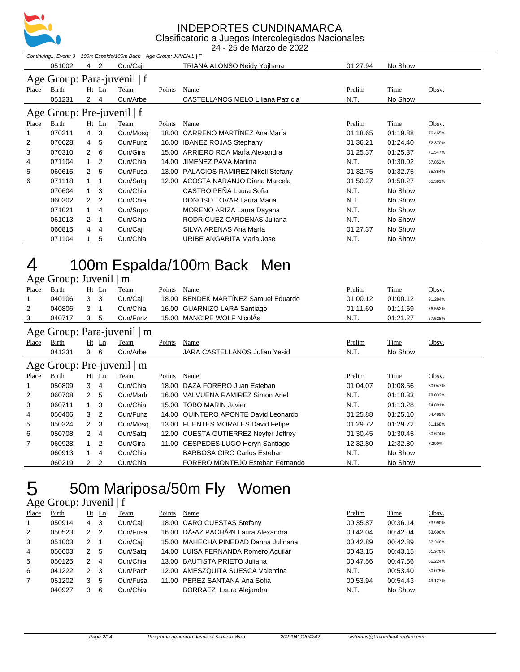

24 - 25 de Marzo de 2022

|                | Continuing Event: 3<br>100m Espalda/100m Back Age Group: JUVENIL   F |                      |                |                             |        |                                       |          |             |         |  |  |  |  |
|----------------|----------------------------------------------------------------------|----------------------|----------------|-----------------------------|--------|---------------------------------------|----------|-------------|---------|--|--|--|--|
|                | 051002                                                               | 4                    | 2              | Cun/Caji                    |        | TRIANA ALONSO Neidy Yojhana           | 01:27.94 | No Show     |         |  |  |  |  |
|                |                                                                      |                      |                | Age Group: Para-juvenil   f |        |                                       |          |             |         |  |  |  |  |
| Place          | Birth                                                                |                      | $Ht$ Ln        | Team                        | Points | Name                                  | Prelim   | Time        | Obsv.   |  |  |  |  |
|                | 051231                                                               | $2 \quad 4$          |                | Cun/Arbe                    |        | CASTELLANOS MELO Liliana Patricia     | N.T.     | No Show     |         |  |  |  |  |
|                | Age Group: Pre-juvenil   f                                           |                      |                |                             |        |                                       |          |             |         |  |  |  |  |
| Place          | Birth                                                                |                      | $Ht$ Ln        | <b>Team</b>                 | Points | Name                                  | Prelim   | <b>Time</b> | Obsv.   |  |  |  |  |
| 1              | 070211                                                               | 4                    | -3             | Cun/Mosq                    | 18.00  | CARRENO MARTINEZ Ana Maria            | 01:18.65 | 01:19.88    | 76.465% |  |  |  |  |
| $\overline{2}$ | 070628                                                               | $\overline{4}$       | 5              | Cun/Funz                    | 16.00  | <b>IBANEZ ROJAS Stephany</b>          | 01:36.21 | 01:24.40    | 72.370% |  |  |  |  |
| 3              | 070310                                                               | $\mathbf{2}^{\circ}$ | 6              | Cun/Gira                    |        | 15.00 ARRIERO ROA MarÍa Alexandra     | 01:25.37 | 01:25.37    | 71.547% |  |  |  |  |
| 4              | 071104                                                               | $\overline{1}$       | $\overline{2}$ | Cun/Chia                    | 14.00  | JIMENEZ PAVA Martina                  | N.T.     | 01:30.02    | 67.852% |  |  |  |  |
| 5              | 060615                                                               | $\mathbf{2}^{\circ}$ | -5             | Cun/Fusa                    |        | 13.00 PALACIOS RAMIREZ Nikoll Stefany | 01:32.75 | 01:32.75    | 65.854% |  |  |  |  |
| 6              | 071118                                                               |                      | -1             | Cun/Satg                    |        | 12.00 ACOSTA NARANJO Diana Marcela    | 01:50.27 | 01:50.27    | 55.391% |  |  |  |  |
|                | 070604                                                               | 1                    | -3             | Cun/Chia                    |        | CASTRO PEÑA Laura Sofia               | N.T.     | No Show     |         |  |  |  |  |
|                | 060302                                                               | 2                    | $\overline{2}$ | Cun/Chia                    |        | <b>DONOSO TOVAR Laura Maria</b>       | N.T.     | No Show     |         |  |  |  |  |
|                | 071021                                                               | $\mathbf{1}$         | 4              | Cun/Sopo                    |        | MORENO ARIZA Laura Dayana             | N.T.     | No Show     |         |  |  |  |  |
|                | 061013                                                               | $\overline{2}$       | 1              | Cun/Chia                    |        | RODRIGUEZ CARDENAS Juliana            | N.T.     | No Show     |         |  |  |  |  |
|                | 060815                                                               | 4                    | 4              | Cun/Caji                    |        | SILVA ARENAS Ana Marla                | 01:27.37 | No Show     |         |  |  |  |  |
|                | 071104                                                               |                      | 5              | Cun/Chia                    |        | URIBE ANGARITA Maria Jose             | N.T.     | No Show     |         |  |  |  |  |

#### 100m Espalda/100m Back Men  $\frac{4}{\sqrt{2}}$

|       | Age Group: Juvenil   m |                |                |                             |        |                                       |               |             |         |  |  |  |
|-------|------------------------|----------------|----------------|-----------------------------|--------|---------------------------------------|---------------|-------------|---------|--|--|--|
| Place | Birth                  |                | Ht Ln          | Team                        | Points | Name                                  | Prelim        | Time        | Obsv.   |  |  |  |
|       | 040106                 | 3              | 3              | Cun/Caji                    | 18.00  | BENDEK MARTÍNEZ Samuel Eduardo        | 01:00.12      | 01:00.12    | 91.284% |  |  |  |
| 2     | 040806                 | 3              |                | Cun/Chia                    |        | 16.00 GUARNIZO LARA Santiago          | 01:11.69      | 01:11.69    | 76.552% |  |  |  |
| 3     | 040717                 | 3              | 5              | Cun/Funz                    |        | 15.00 MANCIPE WOLF NicolAs            | N.T.          | 01:21.27    | 67.528% |  |  |  |
|       |                        |                |                | Age Group: Para-juvenil   m |        |                                       |               |             |         |  |  |  |
| Place | Birth                  |                | $Ht$ Ln        | Team                        | Points | <b>Name</b>                           | <u>Prelim</u> | <b>Time</b> | Obsv.   |  |  |  |
|       | 041231                 | 36             |                | Cun/Arbe                    |        | <b>JARA CASTELLANOS Julian Yesid</b>  | N.T.          | No Show     |         |  |  |  |
|       |                        |                |                | Age Group: Pre-juvenil   m  |        |                                       |               |             |         |  |  |  |
| Place | Birth                  |                | $Ht$ Ln        | Team                        | Points | Name                                  | Prelim        | Time        | Obsv.   |  |  |  |
|       | 050809                 | 3              | 4              | Cun/Chia                    | 18.00  | DAZA FORERO Juan Esteban              | 01:04.07      | 01:08.56    | 80.047% |  |  |  |
| 2     | 060708                 | $\overline{2}$ | - 5            | Cun/Madr                    |        | 16.00 VALVUENA RAMIREZ Simon Ariel    | N.T.          | 01:10.33    | 78.032% |  |  |  |
| 3     | 060711                 | $\mathbf{1}$   | -3             | Cun/Chia                    |        | 15.00 TOBO MARIN Javier               | N.T.          | 01:13.28    | 74.891% |  |  |  |
| 4     | 050406                 | 3              | $\overline{2}$ | Cun/Funz                    |        | 14.00 QUINTERO APONTE David Leonardo  | 01:25.88      | 01:25.10    | 64.489% |  |  |  |
| 5     | 050324                 | $\mathbf{2}$   | -3             | Cun/Mosq                    |        | 13.00 FUENTES MORALES David Felipe    | 01:29.72      | 01:29.72    | 61.168% |  |  |  |
| 6     | 050708                 | 2              | 4              | Cun/Satg                    |        | 12.00 CUESTA GUTIERREZ Neyfer Jeffrey | 01:30.45      | 01:30.45    | 60.674% |  |  |  |
| 7     | 060928                 |                | $\overline{2}$ | Cun/Gira                    |        | 11.00 CESPEDES LUGO Heryn Santiago    | 12:32.80      | 12:32.80    | 7.290%  |  |  |  |
|       | 060913                 |                | 4              | Cun/Chia                    |        | <b>BARBOSA CIRO Carlos Esteban</b>    | N.T.          | No Show     |         |  |  |  |

#### 50m Mariposa/50m Fly Women Age Group: Juvenil | f

|                | $\frac{1}{2}$ |   |                |          |        |                                                 |          |          |         |
|----------------|---------------|---|----------------|----------|--------|-------------------------------------------------|----------|----------|---------|
| Place          | Birth         |   | $Ht$ Ln        | Team     | Points | Name                                            | Prelim   | Time     | Obsv.   |
| $\mathbf{1}$   | 050914        | 4 | - 3            | Cun/Caji |        | 18.00 CARO CUESTAS Stefany                      | 00:35.87 | 00:36.14 | 73.990% |
| 2              | 050523        | 2 | -2             | Cun/Fusa |        | 16.00 DÕAZ PACHÃ <sup>3</sup> N Laura Alexandra | 00:42.04 | 00:42.04 | 63.606% |
| 3              | 051003        | 2 | $\overline{1}$ | Cun/Caji |        | 15.00 MAHECHA PINEDAD Danna Julinana            | 00:42.89 | 00:42.89 | 62.346% |
| $\overline{4}$ | 050603        | 2 | 5              | Cun/Satq |        | 14.00 LUISA FERNANDA Romero Aquilar             | 00:43.15 | 00:43.15 | 61.970% |
| 5              | 050125        | 2 | -4             | Cun/Chia |        | 13.00 BAUTISTA PRIETO Juliana                   | 00:47.56 | 00:47.56 | 56.224% |
| 6              | 041222        | 2 | -3             | Cun/Pach |        | 12.00 AMESZQUITA SUESCA Valentina               | N.T.     | 00:53.40 | 50.075% |
| $\overline{7}$ | 051202        | 3 | 5              | Cun/Fusa |        | 11.00 PEREZ SANTANA Ana Sofia                   | 00:53.94 | 00:54.43 | 49.127% |
|                | 040927        | 3 | 6              | Cun/Chia |        | BORRAEZ Laura Alejandra                         | N.T.     | No Show  |         |
|                |               |   |                |          |        |                                                 |          |          |         |

2 2 Cun/Chia FORERO MONTEJO Esteban Fernando N.T. No Show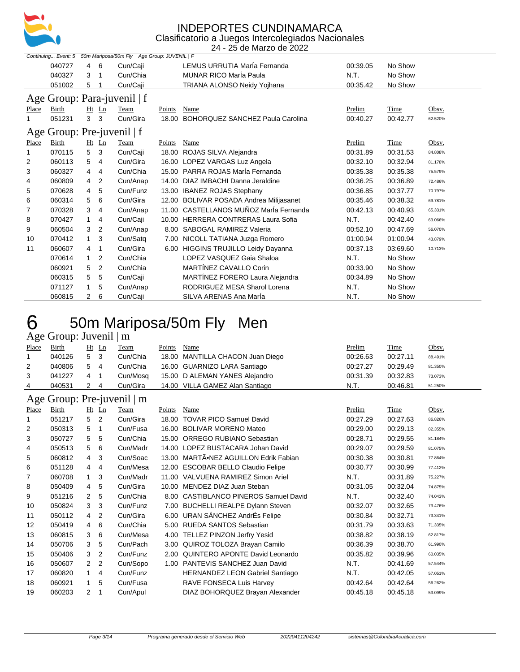

|       |                            |   |                |                                             |        | 24 - 25 de Marzo de 2022                 |          |          |         |
|-------|----------------------------|---|----------------|---------------------------------------------|--------|------------------------------------------|----------|----------|---------|
|       | Continuing Event: 5        |   |                | 50m Mariposa/50m Fly Age Group: JUVENIL   F |        |                                          |          |          |         |
|       | 040727                     | 4 | 6              | Cun/Caji                                    |        | LEMUS URRUTIA Maria Fernanda             | 00:39.05 | No Show  |         |
|       | 040327                     | 3 | 1              | Cun/Chia                                    |        | <b>MUNAR RICO María Paula</b>            | N.T.     | No Show  |         |
|       | 051002                     | 5 |                | Cun/Caji                                    |        | TRIANA ALONSO Neidy Yojhana              | 00:35.42 | No Show  |         |
|       |                            |   |                | Age Group: Para-juvenil   f                 |        |                                          |          |          |         |
| Place | Birth                      |   | Ht Ln          | Team                                        | Points | Name                                     | Prelim   | Time     | Obsv.   |
|       | 051231                     | 3 | 3              | Cun/Gira                                    | 18.00  | BOHORQUEZ SANCHEZ Paula Carolina         | 00:40.27 | 00:42.77 | 62.520% |
|       | Age Group: Pre-juvenil   f |   |                |                                             |        |                                          |          |          |         |
| Place | Birth                      |   | $Ht$ Ln        | Team                                        | Points | Name                                     | Prelim   | Time     | Obsv.   |
|       | 070115                     | 5 | 3              | Cun/Caji                                    |        | 18.00 ROJAS SILVA Alejandra              | 00:31.89 | 00:31.53 | 84.808% |
| 2     | 060113                     | 5 | 4              | Cun/Gira                                    |        | 16.00 LOPEZ VARGAS Luz Angela            | 00:32.10 | 00:32.94 | 81.178% |
| 3     | 060327                     | 4 | 4              | Cun/Chia                                    |        | 15.00 PARRA ROJAS MarÍa Fernanda         | 00:35.38 | 00:35.38 | 75.579% |
| 4     | 060809                     | 4 | 2              | Cun/Anap                                    |        | 14.00 DIAZ IMBACHI Danna Jeraldine       | 00:36.25 | 00:36.89 | 72.486% |
| 5     | 070628                     | 4 | 5              | Cun/Funz                                    |        | 13.00 IBANEZ ROJAS Stephany              | 00:36.85 | 00:37.77 | 70.797% |
| 6     | 060314                     | 5 | 6              | Cun/Gira                                    | 12.00  | <b>BOLIVAR POSADA Andrea Milijasanet</b> | 00:35.46 | 00:38.32 | 69.781% |
| 7     | 070328                     | 3 | 4              | Cun/Anap                                    |        | 11.00 CASTELLANOS MUÑOZ MarÍa Fernanda   | 00:42.13 | 00:40.93 | 65.331% |
| 8     | 070427                     | 1 | 4              | Cun/Caji                                    |        | 10.00 HERRERA CONTRERAS Laura Sofia      | N.T.     | 00:42.40 | 63.066% |
| 9     | 060504                     | 3 | $\overline{2}$ | Cun/Anap                                    | 8.00   | <b>SABOGAL RAMIREZ Valeria</b>           | 00:52.10 | 00:47.69 | 56.070% |
| 10    | 070412                     | 1 | 3              | Cun/Sata                                    |        | 7.00 NICOLL TATIANA Juzga Romero         | 01:00.94 | 01:00.94 | 43.879% |
| 11    | 060607                     | 4 | 1              | Cun/Gira                                    |        | 6.00 HIGGINS TRUJILLO Leidy Dayanna      | 00:37.13 | 03:69.60 | 10.713% |
|       | 070614                     | 1 | 2              | Cun/Chia                                    |        | LOPEZ VASQUEZ Gaia Shaloa                | N.T.     | No Show  |         |
|       | 060921                     | 5 | $\overline{2}$ | Cun/Chia                                    |        | MARTÍNEZ CAVALLO Corin                   | 00:33.90 | No Show  |         |
|       | 060315                     | 5 | 5              | Cun/Caji                                    |        | MARTINEZ FORERO Laura Alejandra          | 00:34.89 | No Show  |         |
|       | 071127                     | 1 | 5              | Cun/Anap                                    |        | RODRIGUEZ MESA Sharol Lorena             | N.T.     | No Show  |         |
|       | 060815                     | 2 | 6              | Cun/Caji                                    |        | SILVA ARENAS Ana Maria                   | N.T.     | No Show  |         |

## 50m Mariposa/50m Fly Men

#### Age Group: Juvenil | m

|       | $1.50$ Oroup. $0.01$ $\mu$ $\mu$ |         |                |             |        |                                  |               |             |         |
|-------|----------------------------------|---------|----------------|-------------|--------|----------------------------------|---------------|-------------|---------|
| Place | <b>Birth</b>                     | $Ht$ Ln |                | <b>Team</b> | Points | Name                             | <b>Prelim</b> | <b>Time</b> | Obsv.   |
|       | 040126                           | 5 3     |                | Cun/Chia    |        | 18.00 MANTILLA CHACON Juan Diego | 00:26.63      | 00:27.11    | 88.491% |
| 2     | 040806                           | 5       | $\overline{4}$ | Cun/Chia    |        | 16.00 GUARNIZO LARA Santiago     | 00:27.27      | 00:29.49    | 81.350% |
| 3     | 041227                           | 4       |                | Cun/Mosa    |        | 15.00 D ALEMAN YANES Alejandro   | 00:31.39      | 00:32.83    | 73.073% |
| 4     | 040531                           | 2 4     |                | Cun/Gira    |        | 14.00 VILLA GAMEZ Alan Santiago  | N.T.          | 00:46.81    | 51.250% |
|       |                                  |         |                |             |        |                                  |               |             |         |

#### Age Group: Pre-juvenil | m

| ு ∼   | $-1 - 1$ |                |                | $1th$ , $1th$ , $1th$ |        |                                         |          |          |         |
|-------|----------|----------------|----------------|-----------------------|--------|-----------------------------------------|----------|----------|---------|
| Place | Birth    |                | $Ht$ Ln        | Team                  | Points | Name                                    | Prelim   | Time     | Obsv.   |
| 1     | 051217   | 5              | 2              | Cun/Gira              | 18.00  | <b>TOVAR PICO Samuel David</b>          | 00:27.29 | 00:27.63 | 86.826% |
| 2     | 050313   | 5              | -1             | Cun/Fusa              | 16.00  | <b>BOLIVAR MORENO Mateo</b>             | 00:29.00 | 00:29.13 | 82.355% |
| 3     | 050727   | 5              | 5              | Cun/Chia              | 15.00  | <b>ORREGO RUBIANO Sebastian</b>         | 00:28.71 | 00:29.55 | 81.184% |
| 4     | 050513   | 5              | 6              | Cun/Madr              | 14.00  | LOPEZ BUSTACARA Johan David             | 00:29.07 | 00:29.59 | 81.075% |
| 5     | 060812   | $\overline{4}$ | 3              | Cun/Soac              | 13.00  | MARTÄ.NEZ AGUILLON Edrik Fabian         | 00:30.38 | 00:30.81 | 77.864% |
| 6     | 051128   | $\overline{4}$ | $\overline{4}$ | Cun/Mesa              |        | 12.00 ESCOBAR BELLO Claudio Felipe      | 00:30.77 | 00:30.99 | 77.412% |
| 7     | 060708   | $\mathbf{1}$   | 3              | Cun/Madr              | 11.00  | VALVUENA RAMIREZ Simon Ariel            | N.T.     | 00:31.89 | 75.227% |
| 8     | 050409   | $\overline{4}$ | 5              | Cun/Gira              | 10.00  | MENDEZ DIAZ Juan Steban                 | 00:31.05 | 00:32.04 | 74.875% |
| 9     | 051216   | $\mathbf{2}$   | 5              | Cun/Chia              | 8.00   | <b>CASTIBLANCO PINEROS Samuel David</b> | N.T.     | 00:32.40 | 74.043% |
| 10    | 050824   | 3              | 3              | Cun/Funz              | 7.00   | <b>BUCHELLI REALPE Dylann Steven</b>    | 00:32.07 | 00:32.65 | 73.476% |
| 11    | 050112   | $4\quad 2$     |                | Cun/Gira              | 6.00   | URAN SÁNCHEZ AndrÉs Felipe              | 00:30.84 | 00:32.71 | 73.341% |
| 12    | 050419   | $\overline{4}$ | 6              | Cun/Chia              |        | 5.00 RUEDA SANTOS Sebastian             | 00:31.79 | 00:33.63 | 71.335% |
| 13    | 060815   | 3              | 6              | Cun/Mesa              |        | 4.00 TELLEZ PINZON Jerfry Yesid         | 00:38.82 | 00:38.19 | 62.817% |
| 14    | 050706   | 3              | 5              | Cun/Pach              | 3.00   | QUIROZ TOLOZA Brayan Camilo             | 00:36.39 | 00:38.70 | 61.990% |
| 15    | 050406   | 3              | 2              | Cun/Funz              | 2.00   | QUINTERO APONTE David Leonardo          | 00:35.82 | 00:39.96 | 60.035% |
| 16    | 050607   | $\mathcal{P}$  | $\overline{2}$ | Cun/Sopo              | 1.00   | PANTEVIS SANCHEZ Juan David             | N.T.     | 00:41.69 | 57.544% |
| 17    | 060820   | 1              | 4              | Cun/Funz              |        | <b>HERNANDEZ LEON Gabriel Santiago</b>  | N.T.     | 00:42.05 | 57.051% |
| 18    | 060921   | $\mathbf{1}$   | 5              | Cun/Fusa              |        | RAVE FONSECA Luis Harvey                | 00:42.64 | 00:42.64 | 56.262% |
| 19    | 060203   | 2              |                | Cun/Apul              |        | DIAZ BOHORQUEZ Brayan Alexander         | 00:45.18 | 00:45.18 | 53.099% |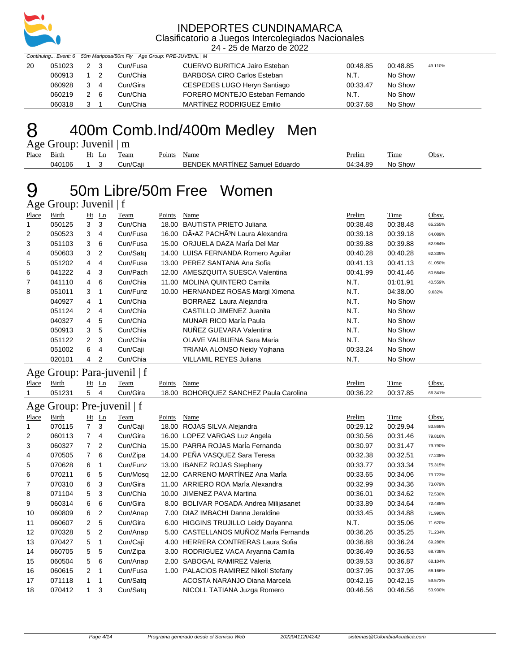

24 - 25 de Marzo de 2022

|    |        |            | Continuing Event: 6 50m Mariposa/50m Fly Age Group: PRE-JUVENIL   M |                                    |          |          |         |
|----|--------|------------|---------------------------------------------------------------------|------------------------------------|----------|----------|---------|
| 20 | 051023 | 2 3        | Cun/Fusa                                                            | CUERVO BURITICA Jairo Esteban      | 00:48.85 | 00:48.85 | 49.110% |
|    | 060913 | $1\quad 2$ | Cun/Chia                                                            | <b>BARBOSA CIRO Carlos Esteban</b> | N.T.     | No Show  |         |
|    | 060928 | 3 4        | Cun/Gira                                                            | CESPEDES LUGO Heryn Santiago       | 00:33.47 | No Show  |         |
|    | 060219 | 2 6        | Cun/Chia                                                            | FORERO MONTEJO Esteban Fernando    | N.T.     | No Show  |         |
|    | 060318 | 3          | Cun/Chia                                                            | MARTINEZ RODRIGUEZ Emilio          | 00:37.68 | No Show  |         |

### 8 400m Comb.Ind/400m Medley Men

Age Group: Juvenil | m

| Place | $\overline{\phantom{a}}$<br>Birth | Ht<br>Ln | l'eam                       | Points | Name                                                       | Prelim   | $-$<br>Time | Obsv |
|-------|-----------------------------------|----------|-----------------------------|--------|------------------------------------------------------------|----------|-------------|------|
|       | 040106                            |          | $\cdots$<br><i>:</i> un/Ca⊫ |        | <b>ARTINEZ</b><br>ВE<br>⊶ NDEK<br>MAF<br>Eduardo<br>Samuel | 04:34.89 | Show<br>No  |      |
|       |                                   |          |                             |        |                                                            |          |             |      |

#### 50m Libre/50m Free Women  $\overline{\Delta}$ ge Group: Juvenil | f

|       | $Age$ $U10$ up: $JU$ venii   1 |               |                |          |        |                                                 |          |          |         |  |  |
|-------|--------------------------------|---------------|----------------|----------|--------|-------------------------------------------------|----------|----------|---------|--|--|
| Place | Birth                          |               | $Ht$ Ln        | Team     | Points | Name                                            | Prelim   | Time     | Obsv.   |  |  |
|       | 050125                         | 3             | 3              | Cun/Chia | 18.00  | <b>BAUTISTA PRIETO Juliana</b>                  | 00:38.48 | 00:38.48 | 65.255% |  |  |
| 2     | 050523                         | 3             | $\overline{4}$ | Cun/Fusa |        | 16.00 DÕAZ PACHÃ <sup>3</sup> N Laura Alexandra | 00:39.18 | 00:39.18 | 64.089% |  |  |
| 3     | 051103                         | 3             | 6              | Cun/Fusa |        | 15.00 ORJUELA DAZA MarÍa Del Mar                | 00:39.88 | 00:39.88 | 62.964% |  |  |
| 4     | 050603                         | 3             | 2              | Cun/Satg |        | 14.00 LUISA FERNANDA Romero Aquilar             | 00:40.28 | 00:40.28 | 62.339% |  |  |
| 5     | 051202                         | 4             | 4              | Cun/Fusa |        | 13.00 PEREZ SANTANA Ana Sofia                   | 00:41.13 | 00:41.13 | 61.050% |  |  |
| 6     | 041222                         | 4             | 3              | Cun/Pach | 12.00  | AMESZOUITA SUESCA Valentina                     | 00:41.99 | 00:41.46 | 60.564% |  |  |
| 7     | 041110                         | 4             | 6              | Cun/Chia | 11.00  | <b>MOLINA QUINTERO Camila</b>                   | N.T.     | 01:01.91 | 40.559% |  |  |
| 8     | 051011                         | 3             | 1              | Cun/Funz |        | 10.00 HERNANDEZ ROSAS Margi Ximena              | N.T.     | 04:38.00 | 9.032%  |  |  |
|       | 040927                         | 4             | 1              | Cun/Chia |        | BORRAEZ Laura Alejandra                         | N.T.     | No Show  |         |  |  |
|       | 051124                         | $\mathcal{P}$ | $\overline{4}$ | Cun/Chia |        | CASTILLO JIMENEZ Juanita                        | N.T.     | No Show  |         |  |  |
|       | 040327                         | 4             | 5              | Cun/Chia |        | <b>MUNAR RICO Maria Paula</b>                   | N.T.     | No Show  |         |  |  |
|       | 050913                         | 3             | 5              | Cun/Chia |        | NUÑEZ GUEVARA Valentina                         | N.T.     | No Show  |         |  |  |
|       | 051122                         | $\mathcal{P}$ | 3              | Cun/Chia |        | OLAVE VALBUENA Sara Maria                       | N.T.     | No Show  |         |  |  |
|       | 051002                         | 6             | $\overline{4}$ | Cun/Caji |        | <b>TRIANA ALONSO Neidy Yojhana</b>              | 00:33.24 | No Show  |         |  |  |
|       | 020101                         | 4             | 2              | Cun/Chia |        | <b>VILLAMIL REYES Juliana</b>                   | N.T.     | No Show  |         |  |  |
|       |                                |               |                |          |        |                                                 |          |          |         |  |  |

#### Age Group: Para-juvenil | f

| Place | Birth                      |                | $Ht$ Ln | Team     | Points | Name                                     | Prelim   | Time     | Obsv.   |  |
|-------|----------------------------|----------------|---------|----------|--------|------------------------------------------|----------|----------|---------|--|
|       | 051231                     | 5              | 4       | Cun/Gira | 18.00  | BOHORQUEZ SANCHEZ Paula Carolina         | 00:36.22 | 00:37.85 | 66.341% |  |
|       | Age Group: Pre-juvenil   f |                |         |          |        |                                          |          |          |         |  |
| Place | Birth                      |                | $Ht$ Ln | Team     | Points | Name                                     | Prelim   | Time     | Obsv.   |  |
|       | 070115                     | $\overline{7}$ | 3       | Cun/Caji | 18.00  | ROJAS SILVA Alejandra                    | 00:29.12 | 00:29.94 | 83.868% |  |
| 2     | 060113                     | 7              | 4       | Cun/Gira |        | 16.00 LOPEZ VARGAS Luz Angela            | 00:30.56 | 00:31.46 | 79.816% |  |
| 3     | 060327                     |                | 2       | Cun/Chia |        | 15.00 PARRA ROJAS MarÍa Fernanda         | 00:30.97 | 00:31.47 | 79.790% |  |
| 4     | 070505                     | 7              | 6       | Cun/Zipa | 14.00  | PEÑA VASQUEZ Sara Teresa                 | 00:32.38 | 00:32.51 | 77.238% |  |
| 5     | 070628                     | 6              | -1      | Cun/Funz | 13.00  | <b>IBANEZ ROJAS Stephany</b>             | 00:33.77 | 00:33.34 | 75.315% |  |
| 6     | 070211                     | 6              | 5       | Cun/Mosq |        | 12.00 CARRENO MARTÍNEZ Ana MarÍa         | 00:33.65 | 00:34.06 | 73.723% |  |
| 7     | 070310                     | 6              | 3       | Cun/Gira | 11.00  | ARRIERO ROA MarÍa Alexandra              | 00:32.99 | 00:34.36 | 73.079% |  |
| 8     | 071104                     | 5              | 3       | Cun/Chia | 10.00  | <b>JIMENEZ PAVA Martina</b>              | 00:36.01 | 00:34.62 | 72.530% |  |
| 9     | 060314                     | 6              | 6       | Cun/Gira | 8.00   | <b>BOLIVAR POSADA Andrea Milijasanet</b> | 00:33.89 | 00:34.64 | 72.488% |  |
| 10    | 060809                     | 6              | 2       | Cun/Anap | 7.00   | DIAZ IMBACHI Danna Jeraldine             | 00:33.45 | 00:34.88 | 71.990% |  |
| 11    | 060607                     | $\overline{2}$ | 5       | Cun/Gira | 6.00   | <b>HIGGINS TRUJILLO Leidy Dayanna</b>    | N.T.     | 00:35.06 | 71.620% |  |
| 12    | 070328                     | 5              | 2       | Cun/Anap | 5.00   | CASTELLANOS MUÑOZ MarÍa Fernanda         | 00:36.26 | 00:35.25 | 71.234% |  |
| 13    | 070427                     | 5              | 1       | Cun/Caji | 4.00   | HERRERA CONTRERAS Laura Sofia            | 00:36.88 | 00:36.24 | 69.288% |  |
| 14    | 060705                     | 5              | 5       | Cun/Zipa | 3.00   | RODRIGUEZ VACA Aryanna Camila            | 00:36.49 | 00:36.53 | 68.738% |  |
| 15    | 060504                     | 5              | 6       | Cun/Anap | 2.00   | <b>SABOGAL RAMIREZ Valeria</b>           | 00:39.53 | 00:36.87 | 68.104% |  |
| 16    | 060615                     | 2              | 1       | Cun/Fusa | 1.00   | PALACIOS RAMIREZ Nikoll Stefany          | 00:37.95 | 00:37.95 | 66.166% |  |
| 17    | 071118                     | 1              | 1       | Cun/Satq |        | ACOSTA NARANJO Diana Marcela             | 00:42.15 | 00:42.15 | 59.573% |  |
| 18    | 070412                     | 1              | 3       | Cun/Satq |        | NICOLL TATIANA Juzga Romero              | 00:46.56 | 00:46.56 | 53.930% |  |
|       |                            |                |         |          |        |                                          |          |          |         |  |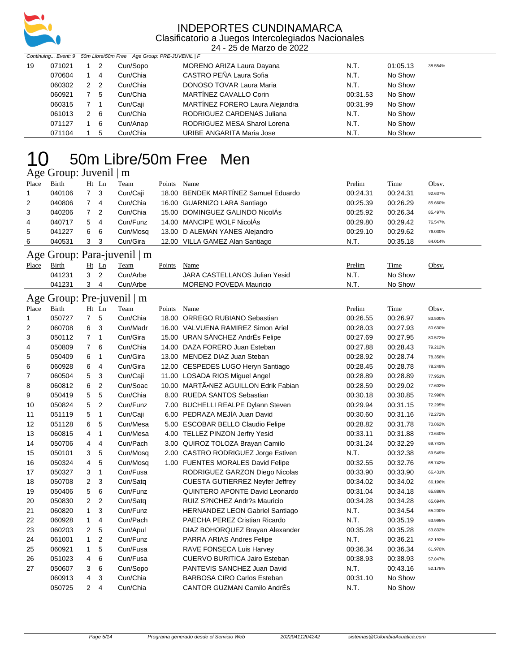

24 - 25 de Marzo de 2022

|    |        | Continuing Event: 9 50m Libre/50m Free Age Group: PRE-JUVENIL   F |                |          |                                 |          |          |         |  |
|----|--------|-------------------------------------------------------------------|----------------|----------|---------------------------------|----------|----------|---------|--|
| 19 | 071021 |                                                                   | 2              | Cun/Sopo | MORENO ARIZA Laura Dayana       | N.T.     | 01:05.13 | 38.554% |  |
|    | 070604 |                                                                   | -4             | Cun/Chia | CASTRO PEÑA Laura Sofia         | N.T.     | No Show  |         |  |
|    | 060302 | 2                                                                 | $\overline{2}$ | Cun/Chia | <b>DONOSO TOVAR Laura Maria</b> | N.T.     | No Show  |         |  |
|    | 060921 | 7                                                                 | -5             | Cun/Chia | MARTÍNEZ CAVALLO Corin          | 00:31.53 | No Show  |         |  |
|    | 060315 |                                                                   |                | Cun/Caji | MARTÍNEZ FORERO Laura Alejandra | 00:31.99 | No Show  |         |  |
|    | 061013 | 2                                                                 | - 6            | Cun/Chia | RODRIGUEZ CARDENAS Juliana      | N.T.     | No Show  |         |  |
|    | 071127 |                                                                   | -6             | Cun/Anap | RODRIGUEZ MESA Sharol Lorena    | N.T.     | No Show  |         |  |
|    | 071104 |                                                                   | 5              | Cun/Chia | URIBE ANGARITA Maria Jose       | N.T.     | No Show  |         |  |

## 50m Libre/50m Free Men

#### Age Group: Juvenil | m

| Place          | Birth                      |                | $Ht$ Ln | Team                             | Points | Name                                 | Prelim   | Time     | Obsv.   |  |  |
|----------------|----------------------------|----------------|---------|----------------------------------|--------|--------------------------------------|----------|----------|---------|--|--|
|                | 040106                     | 7 <sup>3</sup> |         | Cun/Caji                         |        | 18.00 BENDEK MARTÍNEZ Samuel Eduardo | 00:24.31 | 00:24.31 | 92.637% |  |  |
| $\overline{2}$ | 040806                     |                | 4       | Cun/Chia                         |        | 16.00 GUARNIZO LARA Santiago         | 00:25.39 | 00:26.29 | 85.660% |  |  |
| 3              | 040206                     | $7^{\circ}$    | -2      | Cun/Chia                         |        | 15.00 DOMINGUEZ GALINDO NicolÁs      | 00:25.92 | 00:26.34 | 85.497% |  |  |
| 4              | 040717                     | 5              | 4       | Cun/Funz                         |        | 14.00 MANCIPE WOLF NicolAs           | 00:29.80 | 00:29.42 | 76.547% |  |  |
| 5              | 041227                     | 6              | -6      | Cun/Mosq                         |        | 13.00 D ALEMAN YANES Alejandro       | 00:29.10 | 00:29.62 | 76.030% |  |  |
| 6              | 040531                     | 3 <sub>3</sub> |         | Cun/Gira                         |        | 12.00 VILLA GAMEZ Alan Santiago      | N.T.     | 00:35.18 | 64.014% |  |  |
|                |                            |                |         | Age Group: Para-juvenil $\mid$ m |        |                                      |          |          |         |  |  |
| Place          | <b>Birth</b>               |                | $Ht$ Ln | Team                             | Points | Name                                 | Prelim   | Time     | Obsv.   |  |  |
|                | 041231                     | 3 <sub>2</sub> |         | Cun/Arbe                         |        | JARA CASTELLANOS Julian Yesid        | N.T.     | No Show  |         |  |  |
|                | 041231                     | 3              | 4       | Cun/Arbe                         |        | <b>MORENO POVEDA Mauricio</b>        | N.T.     | No Show  |         |  |  |
|                | Age Group: Pre-juvenil   m |                |         |                                  |        |                                      |          |          |         |  |  |

| Place          | <b>Birth</b> | Ht             | Ln             | Team     | Points | Name                                   | Prelim   | Time     | Obsv.   |
|----------------|--------------|----------------|----------------|----------|--------|----------------------------------------|----------|----------|---------|
| 1              | 050727       | $\overline{7}$ | 5              | Cun/Chia | 18.00  | ORREGO RUBIANO Sebastian               | 00:26.55 | 00:26.97 | 83.500% |
| 2              | 060708       | 6              | 3              | Cun/Madr |        | 16.00 VALVUENA RAMIREZ Simon Ariel     | 00:28.03 | 00:27.93 | 80.630% |
| 3              | 050112       | $\overline{7}$ | 1              | Cun/Gira | 15.00  | URAN SÁNCHEZ AndrÉs Felipe             | 00:27.69 | 00:27.95 | 80.572% |
| 4              | 050809       | $\overline{7}$ | 6              | Cun/Chia |        | 14.00 DAZA FORERO Juan Esteban         | 00:27.88 | 00:28.43 | 79.212% |
| 5              | 050409       | 6              | $\mathbf{1}$   | Cun/Gira | 13.00  | MENDEZ DIAZ Juan Steban                | 00:28.92 | 00:28.74 | 78.358% |
| 6              | 060928       | 6              | $\overline{4}$ | Cun/Gira |        | 12.00 CESPEDES LUGO Heryn Santiago     | 00:28.45 | 00:28.78 | 78.249% |
| $\overline{7}$ | 060504       | 5              | 3              | Cun/Caji |        | 11.00 LOSADA RIOS Miguel Angel         | 00:28.89 | 00:28.89 | 77.951% |
| 8              | 060812       | 6              | $\overline{2}$ | Cun/Soac | 10.00  | MARTÃ.NEZ AGUILLON Edrik Fabian        | 00:28.59 | 00:29.02 | 77.602% |
| 9              | 050419       | 5              | 5              | Cun/Chia |        | 8.00 RUEDA SANTOS Sebastian            | 00:30.18 | 00:30.85 | 72.998% |
| 10             | 050824       | 5              | $\overline{2}$ | Cun/Funz | 7.00   | <b>BUCHELLI REALPE Dylann Steven</b>   | 00:29.94 | 00:31.15 | 72.295% |
| 11             | 051119       | 5              | 1              | Cun/Caji | 6.00   | PEDRAZA MEJÍA Juan David               | 00:30.60 | 00:31.16 | 72.272% |
| 12             | 051128       | 6              | 5              | Cun/Mesa |        | 5.00 ESCOBAR BELLO Claudio Felipe      | 00:28.82 | 00:31.78 | 70.862% |
| 13             | 060815       | 4              | $\mathbf{1}$   | Cun/Mesa | 4.00   | <b>TELLEZ PINZON Jerfry Yesid</b>      | 00:33.11 | 00:31.88 | 70.640% |
| 14             | 050706       | 4              | $\overline{4}$ | Cun/Pach | 3.00   | QUIROZ TOLOZA Brayan Camilo            | 00:31.24 | 00:32.29 | 69.743% |
| 15             | 050101       | 3              | 5              | Cun/Mosq | 2.00   | CASTRO RODRIGUEZ Jorge Estiven         | N.T.     | 00:32.38 | 69.549% |
| 16             | 050324       | 4              | 5              | Cun/Mosq |        | 1.00 FUENTES MORALES David Felipe      | 00:32.55 | 00:32.76 | 68.742% |
| 17             | 050327       | 3              | 1              | Cun/Fusa |        | RODRIGUEZ GARZON Diego Nicolas         | 00:33.90 | 00:33.90 | 66.431% |
| 18             | 050708       | $\overline{2}$ | 3              | Cun/Satq |        | <b>CUESTA GUTIERREZ Neyfer Jeffrey</b> | 00:34.02 | 00:34.02 | 66.196% |
| 19             | 050406       | 5              | 6              | Cun/Funz |        | QUINTERO APONTE David Leonardo         | 00:31.04 | 00:34.18 | 65.886% |
| 20             | 050830       | 2              | 2              | Cun/Satq |        | RUIZ S?NCHEZ Andr?s Mauricio           | 00:34.28 | 00:34.28 | 65.694% |
| 21             | 060820       | $\mathbf{1}$   | 3              | Cun/Funz |        | <b>HERNANDEZ LEON Gabriel Santiago</b> | N.T.     | 00:34.54 | 65.200% |
| 22             | 060928       | $\mathbf{1}$   | 4              | Cun/Pach |        | PAECHA PEREZ Cristian Ricardo          | N.T.     | 00:35.19 | 63.995% |
| 23             | 060203       | $\overline{2}$ | 5              | Cun/Apul |        | DIAZ BOHORQUEZ Brayan Alexander        | 00:35.28 | 00:35.28 | 63.832% |
| 24             | 061001       | $\mathbf{1}$   | $\overline{2}$ | Cun/Funz |        | PARRA ARIAS Andres Felipe              | N.T.     | 00:36.21 | 62.193% |
| 25             | 060921       | $\mathbf{1}$   | 5              | Cun/Fusa |        | RAVE FONSECA Luis Harvey               | 00:36.34 | 00:36.34 | 61.970% |
| 26             | 051023       | 4              | 6              | Cun/Fusa |        | <b>CUERVO BURITICA Jairo Esteban</b>   | 00:38.93 | 00:38.93 | 57.847% |
| 27             | 050607       | 3              | 6              | Cun/Sopo |        | PANTEVIS SANCHEZ Juan David            | N.T.     | 00:43.16 | 52.178% |
|                | 060913       | 4              | 3              | Cun/Chia |        | <b>BARBOSA CIRO Carlos Esteban</b>     | 00:31.10 | No Show  |         |
|                | 050725       | $\overline{2}$ | $\overline{4}$ | Cun/Chia |        | CANTOR GUZMAN Camilo AndrÉs            | N.T.     | No Show  |         |
|                |              |                |                |          |        |                                        |          |          |         |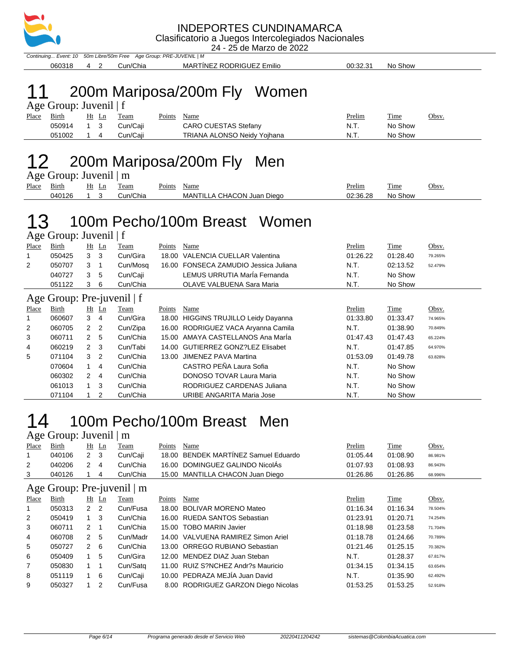

24 - 25 de Marzo de 2022

Continuing... Event: 10 50m Libre/50m Free Age Group: PRE-JUVENIL | M 060318 4 2 Cun/Chia MARTÍNEZ RODRIGUEZ Emilio 00:32.31 No Show

## 11 200m Mariposa/200m Fly Women

|       | Age Group: Juvenil $ f $ |             |  |             |             |                                    |               |         |       |  |  |
|-------|--------------------------|-------------|--|-------------|-------------|------------------------------------|---------------|---------|-------|--|--|
| Place | Birth                    | Ht Ln       |  | <b>Team</b> | Points Name |                                    | <b>Prelim</b> | Time    | Obsv. |  |  |
|       | 050914                   | $1 \quad 3$ |  | Cun/Caii    |             | <b>CARO CUESTAS Stefany</b>        | N.T.          | No Show |       |  |  |
|       | 051002                   | $1 \quad 4$ |  | Cun/Caii    |             | <b>TRIANA ALONSO Neidy Yojhana</b> | N.T.          | No Show |       |  |  |

### 200m Mariposa/200m Fly Men

Age Group: Juvenil | m

|       | $1.45$ $\sigma$ $1.54$ $\mu$ $\sigma$ $\sigma$ $\sigma$ $\sigma$ $\sigma$ $\sigma$ $\sigma$ |          |          |                             |                            |                                                                                                                                                                                                                                                |         |       |  |  |  |  |
|-------|---------------------------------------------------------------------------------------------|----------|----------|-----------------------------|----------------------------|------------------------------------------------------------------------------------------------------------------------------------------------------------------------------------------------------------------------------------------------|---------|-------|--|--|--|--|
| Place | Birth                                                                                       | Ht<br>Ln | Team     | $\mathbf{p}_{\text{oints}}$ | Name                       | Prelim<br><u> The Communication of the Communication of the Communication of the Communication of the Communication of the Communication of the Communication of the Communication of the Communication of the Communication of the Commun</u> | Time    | Obsv. |  |  |  |  |
|       | 040126                                                                                      |          | Cun/Chia |                             | MANTILLA CHACON Juan Diego | 02:36.28                                                                                                                                                                                                                                       | No Show |       |  |  |  |  |

# 100m Pecho/100m Breast Women

Age Group: Juvenil | f

| Place       | Birth                        | Ht | $\mathbf{L}$ n | Team                                | Points | Name                                  | Prelim       | Time     | Obsv.   |  |  |  |
|-------------|------------------------------|----|----------------|-------------------------------------|--------|---------------------------------------|--------------|----------|---------|--|--|--|
| $\mathbf 1$ | 050425                       | 3  | 3              | Cun/Gira                            |        | 18.00 VALENCIA CUELLAR Valentina      | 01:26.22     | 01:28.40 | 79.265% |  |  |  |
| 2           | 050707                       | 3  |                | Cun/Mosq                            |        | 16.00 FONSECA ZAMUDIO Jessica Juliana | N.T.         | 02:13.52 | 52.479% |  |  |  |
|             | 040727                       | 3  | 5              | Cun/Caji                            |        | LEMUS URRUTIA MarÍa Fernanda          | N.T.         | No Show  |         |  |  |  |
|             | 051122                       | 3  | -6             | Cun/Chia                            |        | OLAVE VALBUENA Sara Maria             | N.T.         | No Show  |         |  |  |  |
|             | Age Group: Pre-juvenil $ f $ |    |                |                                     |        |                                       |              |          |         |  |  |  |
| Place       | <b>Birth</b>                 | Ht | Ln             | Team                                | Points | Name                                  | Prelim       | Time     | Obsv.   |  |  |  |
|             | 060607                       | 3  | 4              | Cun/Gira                            |        | 18.00 HIGGINS TRUJILLO Leidy Dayanna  | 01:33.80     | 01:33.47 | 74.965% |  |  |  |
| $\sim$      | 000705                       |    |                | $\alpha$ $\alpha$ $\alpha$ $\alpha$ |        | $10.00$ BOBBIOUEZ VAOA A  O           | $\mathbf{r}$ | 0.10000  | .       |  |  |  |

| 2 | 060705 | 2 | $\overline{2}$ | Cun/Zipa | 16.00 RODRIGUEZ VACA Aryanna Camila | N.T.     | 01:38.90 | 70.849% |
|---|--------|---|----------------|----------|-------------------------------------|----------|----------|---------|
| 3 | 060711 |   | -5             | Cun/Chia | 15.00 AMAYA CASTELLANOS Ana María   | 01:47.43 | 01:47.43 | 65.224% |
| 4 | 060219 | 2 | -3             | Cun/Tabi | 14.00 GUTIERREZ GONZ?LEZ Elisabet   | N.T.     | 01:47.85 | 64.970% |
| 5 | 071104 | 3 | -2             | Cun/Chia | 13.00 JIMENEZ PAVA Martina          | 01:53.09 | 01:49.78 | 63.828% |
|   | 070604 |   | 4              | Cun/Chia | CASTRO PEÑA Laura Sofia             | N.T.     | No Show  |         |
|   | 060302 | 2 | 4              | Cun/Chia | <b>DONOSO TOVAR Laura Maria</b>     | N.T.     | No Show  |         |
|   | 061013 |   | 3              | Cun/Chia | RODRIGUEZ CARDENAS Juliana          | N.T.     | No Show  |         |
|   | 071104 |   |                | Cun/Chia | URIBE ANGARITA Maria Jose           | N.T.     | No Show  |         |

## 100m Pecho/100m Breast Men

| Age Group: Juvenil $\mid$ m |                                 |     |         |             |        |                                      |          |             |         |  |  |
|-----------------------------|---------------------------------|-----|---------|-------------|--------|--------------------------------------|----------|-------------|---------|--|--|
| Place                       | <b>Birth</b>                    |     | $Ht$ Ln | <b>Team</b> | Points | Name                                 | Prelim   | <u>Time</u> | Obsv.   |  |  |
|                             | 040106                          | 2 3 |         | Cun/Caji    |        | 18.00 BENDEK MARTÍNEZ Samuel Eduardo | 01:05.44 | 01:08.90    | 86.981% |  |  |
| 2                           | 040206                          | 2   | 4       | Cun/Chia    |        | 16.00 DOMINGUEZ GALINDO NicolÁs      | 01:07.93 | 01:08.93    | 86.943% |  |  |
| 3                           | 040126                          |     | 4       | Cun/Chia    |        | 15.00 MANTILLA CHACON Juan Diego     | 01:26.86 | 01:26.86    | 68.996% |  |  |
|                             | Age Group: Pre-juvenil $\mid$ m |     |         |             |        |                                      |          |             |         |  |  |
| Place                       | <b>Birth</b>                    |     | $Ht$ Ln | Team        | Points | Name                                 | Prelim   | Time        | Obsv.   |  |  |

| Birth  |   |   | Team                                                | Points | Name | Prelim                                                                                                                                                                                                                                                                                                        | <b>Time</b> | Obsv.   |
|--------|---|---|-----------------------------------------------------|--------|------|---------------------------------------------------------------------------------------------------------------------------------------------------------------------------------------------------------------------------------------------------------------------------------------------------------------|-------------|---------|
| 050313 | 2 |   | Cun/Fusa                                            |        |      | 01:16.34                                                                                                                                                                                                                                                                                                      | 01:16.34    | 78.504% |
| 050419 |   | 3 | Cun/Chia                                            |        |      | 01:23.91                                                                                                                                                                                                                                                                                                      | 01:20.71    | 74.254% |
| 060711 | 2 |   | Cun/Chia                                            |        |      | 01:18.98                                                                                                                                                                                                                                                                                                      | 01:23.58    | 71.704% |
| 060708 | 2 |   | Cun/Madr                                            |        |      | 01:18.78                                                                                                                                                                                                                                                                                                      | 01:24.66    | 70.789% |
| 050727 | 2 |   | Cun/Chia                                            |        |      | 01:21.46                                                                                                                                                                                                                                                                                                      | 01:25.15    | 70.382% |
| 050409 |   | 5 | Cun/Gira                                            |        |      | N.T.                                                                                                                                                                                                                                                                                                          | 01:28.37    | 67.817% |
| 050830 |   |   | Cun/Satg                                            |        |      | 01:34.15                                                                                                                                                                                                                                                                                                      | 01:34.15    | 63.654% |
| 051119 |   |   | Cun/Caji                                            |        |      | N.T.                                                                                                                                                                                                                                                                                                          | 01:35.90    | 62.492% |
| 050327 |   |   | Cun/Fusa                                            |        |      | 01:53.25                                                                                                                                                                                                                                                                                                      | 01:53.25    | 52.918% |
|        |   |   | $Ht$ Ln<br>$\overline{2}$<br>-5<br>- 6<br>- 6<br>-2 |        |      | 18.00 BOLIVAR MORENO Mateo<br>16.00 RUEDA SANTOS Sebastian<br>15.00 TOBO MARIN Javier<br>14.00 VALVUENA RAMIREZ Simon Ariel<br>13.00 ORREGO RUBIANO Sebastian<br>12.00 MENDEZ DIAZ Juan Steban<br>11.00 RUIZ S?NCHEZ Andr?s Mauricio<br>10.00 PEDRAZA MEJÍA Juan David<br>8.00 RODRIGUEZ GARZON Diego Nicolas |             |         |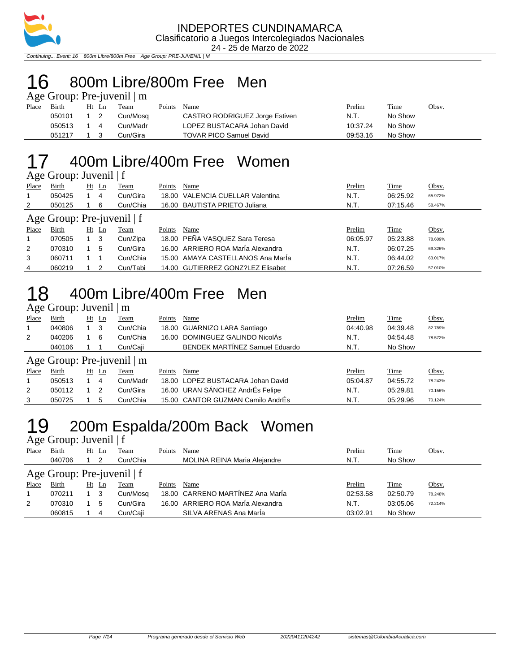

Continuing... Event: 16 800m Libre/800m Free Age Group: PRE-JUVENIL | M

# 16 800m Libre/800m Free Men

| Age Group: Pre-juvenil   m |  |  |
|----------------------------|--|--|
|                            |  |  |

| Place | Birth      | Ht Ln | Team     | Points | Name                           | Prelim   | <b>Time</b> | Obsv. |
|-------|------------|-------|----------|--------|--------------------------------|----------|-------------|-------|
|       | 050101     |       | Cun/Mosq |        | CASTRO RODRIGUEZ Jorge Estiven | N.T.     | No Show     |       |
|       | 050513 1 4 |       | Cun/Madr |        | LOPEZ BUSTACARA Johan David    | 10:37.24 | No Show     |       |
|       | 051217     |       | Cun/Gira |        | <b>TOVAR PICO Samuel David</b> | 09:53.16 | No Show     |       |

### 17 400m Libre/400m Free Women

#### Age Group: Juvenil | f

| Place                        | Birth  | Ht  | Ln    | Team     | Points | Name                              | Prelim   | Time     | Obsv.   |  |  |  |
|------------------------------|--------|-----|-------|----------|--------|-----------------------------------|----------|----------|---------|--|--|--|
|                              | 050425 |     | 4     | Cun/Gira |        | 18.00 VALENCIA CUELLAR Valentina  | N.T.     | 06:25.92 | 65.972% |  |  |  |
| 2                            | 050125 |     | 6     | Cun/Chia |        | 16.00 BAUTISTA PRIETO Juliana     | N.T.     | 07:15.46 | 58.467% |  |  |  |
| Age Group: Pre-juvenil $ f $ |        |     |       |          |        |                                   |          |          |         |  |  |  |
| Place                        | Birth  |     | Ht Ln | Team     | Points | Name                              | Prelim   | Time     | Obsv.   |  |  |  |
|                              | 070505 | 1 3 |       | Cun/Zipa |        | 18.00 PEÑA VASQUEZ Sara Teresa    | 06:05.97 | 05:23.88 | 78.609% |  |  |  |
| 2                            | 070310 |     | 5     | Cun/Gira |        | 16.00 ARRIERO ROA María Alexandra | N.T.     | 06:07.25 | 69.326% |  |  |  |
| 3                            | 060711 |     |       | Cun/Chia |        | 15.00 AMAYA CASTELLANOS Ana MarÍa | N.T.     | 06:44.02 | 63.017% |  |  |  |
| 4                            | 060219 |     | 2     | Cun/Tabi |        | 14.00 GUTIERREZ GONZ?LEZ Elisabet | N.T.     | 07:26.59 | 57.010% |  |  |  |

### 18 400m Libre/400m Free Men

#### Age Group: Juvenil | m

| Place | Birth                      | Ht | Ln      | Team     | Points | Name                                  | Prelim   | Time     | Obsv.   |  |  |  |  |
|-------|----------------------------|----|---------|----------|--------|---------------------------------------|----------|----------|---------|--|--|--|--|
|       | 040806                     |    | 3       | Cun/Chia |        | 18.00 GUARNIZO LARA Santiago          | 04:40.98 | 04:39.48 | 82.789% |  |  |  |  |
| 2     | 040206                     |    | 6       | Cun/Chia |        | 16.00 DOMINGUEZ GALINDO NicolÁs       | N.T.     | 04:54.48 | 78.572% |  |  |  |  |
|       | 040106                     |    |         | Cun/Caji |        | <b>BENDEK MARTINEZ Samuel Eduardo</b> | N.T.     | No Show  |         |  |  |  |  |
|       | Age Group: Pre-juvenil   m |    |         |          |        |                                       |          |          |         |  |  |  |  |
| Place | Birth                      |    | $Ht$ Ln | Team     | Points | Name                                  | Prelim   | Time     | Obsv.   |  |  |  |  |
|       | 050513                     |    | 4       | Cun/Madr |        | 18.00 LOPEZ BUSTACARA Johan David     | 05:04.87 | 04:55.72 | 78.243% |  |  |  |  |
| 2     | 050112                     |    | 2       | Cun/Gira |        | 16.00 URAN SÁNCHEZ AndrÉs Felipe      | N.T.     | 05:29.81 | 70.156% |  |  |  |  |
| 3     | 050725                     |    | 5       | Cun/Chia |        | 15.00 CANTOR GUZMAN Camilo AndrÉs     | N.T.     | 05:29.96 | 70.124% |  |  |  |  |

### 19 200m Espalda/200m Back Women

#### Age Group: Juvenil | f Place Birth Ht Ln Team Points Name **Prelim** Time Obsv. 040706 1 2 Cun/Chia MOLINA REINA Maria Alejandre N.T. No Show Age Group: Pre-juvenil | f<br>Place Birth Ht Ln Team Place Birth Ht Ln Team Points Name Prelim Time Obsv. 1 070211 1 3 Cun/Mosq 18.00 CARRENO MARTÍNEZ Ana MarÍa 02:53.58 02:50.79 78.248% 2 070310 1 5 Cun/Gira 16.00 ARRIERO ROA María Alexandra N.T. 03:05.06 72.214% 060815 1 4 Cun/Caji SILVA ARENAS Ana MarÍa 03:02.91 No Show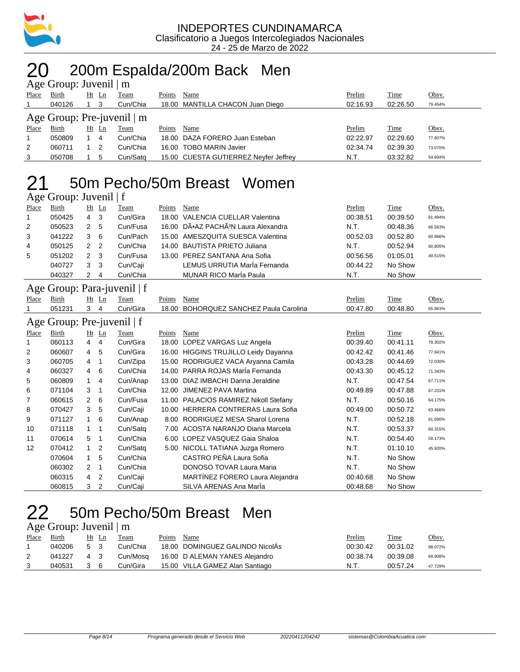

## 20 200m Espalda/200m Back Men

|                                 | Age Group: Juvenil $\mid$ m |    |       |             |        |                                       |          |             |         |  |  |  |  |  |
|---------------------------------|-----------------------------|----|-------|-------------|--------|---------------------------------------|----------|-------------|---------|--|--|--|--|--|
| Place                           | Birth                       |    | Ht Ln | <b>Team</b> | Points | Name                                  | Prelim   | Time        | Obsv.   |  |  |  |  |  |
|                                 | 040126                      |    | -3    | Cun/Chia    |        | 18.00 MANTILLA CHACON Juan Diego      | 02:16.93 | 02:26.50    | 79.454% |  |  |  |  |  |
| Age Group: Pre-juvenil $\mid$ m |                             |    |       |             |        |                                       |          |             |         |  |  |  |  |  |
| Place                           | <b>Birth</b>                | Ht | Ln    | <u>Team</u> | Points | Name                                  | Prelim   | <b>Time</b> | Obsv.   |  |  |  |  |  |
|                                 | 050809                      |    | -4    | Cun/Chia    |        | 18.00 DAZA FORERO Juan Esteban        | 02:22.97 | 02:29.60    | 77.807% |  |  |  |  |  |
| 2                               | 060711                      |    | -2    | Cun/Chia    |        | 16.00 TOBO MARIN Javier               | 02:34.74 | 02:39.30    | 73.070% |  |  |  |  |  |
| 3                               | 050708                      |    | 5     | Cun/Sata    |        | 15.00 CUESTA GUTIERREZ Neyfer Jeffrey | N.T.     | 03:32.82    | 54.694% |  |  |  |  |  |

### 50m Pecho/50m Breast Women

| Age Group: Juvenil   f |  |  |
|------------------------|--|--|
|                        |  |  |

| Place | Birth  |               | $Ht$ Ln | Team     | Points | Name                                            | Prelim   | Time     | Obsv.   |
|-------|--------|---------------|---------|----------|--------|-------------------------------------------------|----------|----------|---------|
|       | 050425 | 4             | -3      | Cun/Gira |        | 18.00 VALENCIA CUELLAR Valentina                | 00:38.51 | 00:39.50 | 81.494% |
| 2     | 050523 | 2             | -5      | Cun/Fusa |        | 16.00 DÕAZ PACHÃ <sup>3</sup> N Laura Alexandra | N.T.     | 00:48.36 | 66.563% |
| 3     | 041222 | 3             | 6       | Cun/Pach |        | 15.00 AMESZQUITA SUESCA Valentina               | 00:52.03 | 00:52.80 | 60.966% |
| 4     | 050125 | $\mathcal{P}$ | - 2     | Cun/Chia |        | 14.00 BAUTISTA PRIETO Juliana                   | N.T.     | 00:52.94 | 60.805% |
| 5     | 051202 | 2             | - 3     | Cun/Fusa |        | 13.00 PEREZ SANTANA Ana Sofia                   | 00:56.56 | 01:05.01 | 49.515% |
|       | 040727 | 3             | 3       | Cun/Caji |        | LEMUS URRUTIA MarÍa Fernanda                    | 00:44.22 | No Show  |         |
|       | 040327 | 2             | 4       | Cun/Chia |        | <b>MUNAR RICO MarÍa Paula</b>                   | N.T.     | No Show  |         |

#### Age Group: Para-juvenil | f

| Age Group: Para-juvenil   f |                            |                |         |          |        |                                       |          |          |         |  |
|-----------------------------|----------------------------|----------------|---------|----------|--------|---------------------------------------|----------|----------|---------|--|
| Place                       | Birth                      |                | $Ht$ Ln | Team     | Points | Name                                  | Prelim   | Time     | Obsv.   |  |
|                             | 051231                     | 3              | 4       | Cun/Gira | 18.00  | BOHORQUEZ SANCHEZ Paula Carolina      | 00:47.80 | 00:48.80 | 65.963% |  |
|                             | Age Group: Pre-juvenil   f |                |         |          |        |                                       |          |          |         |  |
| Place                       | Birth                      |                | $Ht$ Ln | Team     | Points | Name                                  | Prelim   | Time     | Obsv.   |  |
| 1                           | 060113                     | $\overline{4}$ | 4       | Cun/Gira | 18.00  | LOPEZ VARGAS Luz Angela               | 00:39.40 | 00:41.11 | 78.302% |  |
| 2                           | 060607                     | 4              | 5       | Cun/Gira | 16.00  | <b>HIGGINS TRUJILLO Leidy Dayanna</b> | 00:42.42 | 00:41.46 | 77.641% |  |
| 3                           | 060705                     | 4              | -1      | Cun/Zipa | 15.00  | RODRIGUEZ VACA Aryanna Camila         | 00:43.28 | 00:44.69 | 72.030% |  |
| 4                           | 060327                     | 4              | 6       | Cun/Chia | 14.00  | PARRA ROJAS María Fernanda            | 00:43.30 | 00:45.12 | 71.343% |  |
| 5                           | 060809                     | 1              | 4       | Cun/Anap | 13.00  | DIAZ IMBACHI Danna Jeraldine          | N.T.     | 00:47.54 | 67.711% |  |
| 6                           | 071104                     | 3              | -1      | Cun/Chia | 12.00  | JIMENEZ PAVA Martina                  | 00:49.89 | 00:47.88 | 67.231% |  |
| 7                           | 060615                     | $\overline{2}$ | 6       | Cun/Fusa | 11.00  | PALACIOS RAMIREZ Nikoll Stefany       | N.T.     | 00:50.16 | 64.175% |  |
| 8                           | 070427                     | 3              | 5       | Cun/Caji | 10.00  | <b>HERRERA CONTRERAS Laura Sofia</b>  | 00:49.00 | 00:50.72 | 63.466% |  |
| 9                           | 071127                     | $\mathbf{1}$   | 6       | Cun/Anap | 8.00   | RODRIGUEZ MESA Sharol Lorena          | N.T.     | 00:52.18 | 61.690% |  |
| 10                          | 071118                     | 1              | 1       | Cun/Satg | 7.00   | ACOSTA NARANJO Diana Marcela          | N.T.     | 00:53.37 | 60.315% |  |
| 11                          | 070614                     | 5              | -1      | Cun/Chia | 6.00   | LOPEZ VASQUEZ Gaia Shaloa             | N.T.     | 00:54.40 | 59.173% |  |
| 12                          | 070412                     | 1              | 2       | Cun/Satg | 5.00   | NICOLL TATIANA Juzga Romero           | N.T.     | 01:10.10 | 45.920% |  |
|                             | 070604                     | 1              | 5       | Cun/Chia |        | CASTRO PEÑA Laura Sofia               | N.T.     | No Show  |         |  |
|                             | 060302                     | $\overline{2}$ | 1       | Cun/Chia |        | DONOSO TOVAR Laura Maria              | N.T.     | No Show  |         |  |
|                             | 060315                     | 4              | 2       | Cun/Caji |        | MARTÍNEZ FORERO Laura Alejandra       | 00:40.68 | No Show  |         |  |
|                             | 060815                     | 3              | 2       | Cun/Caji |        | SILVA ARENAS Ana Maria                | 00:48.68 | No Show  |         |  |

### 50m Pecho/50m Breast Men

#### Age Group: Juvenil | m

| Place | Birth  | Ht Ln | Team     | Points | Name                            | Prelim   | Time     | <u>Obsv.</u> |
|-------|--------|-------|----------|--------|---------------------------------|----------|----------|--------------|
|       | 040206 | 5 3   | Cun/Chia |        | 18.00 DOMINGUEZ GALINDO NicolAs | 00:30.42 | 00:31.02 | 88.072%      |
|       | 041227 | 4 3   | Cun/Mosa |        | 16.00 D ALEMAN YANES Alejandro  | 00:38.74 | 00:39.08 | 69.908%      |
|       | 040531 |       | Cun/Gira |        | 15.00 VILLA GAMEZ Alan Santiago | N.T.     | 00:57.24 | 47.729%      |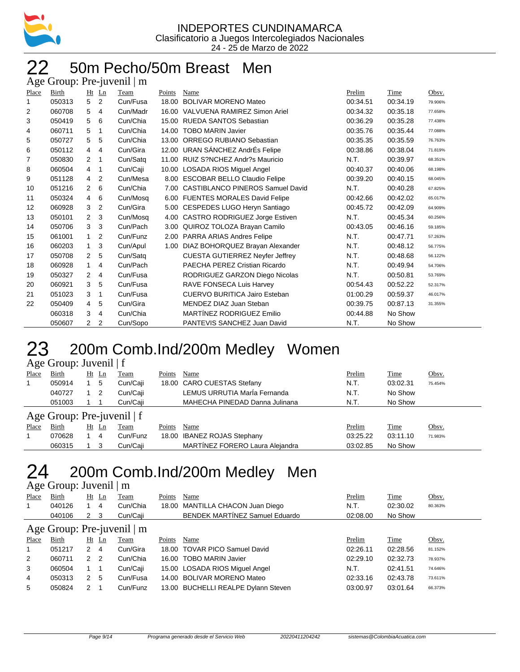

#### 50m Pecho/50m Breast Men  $\overline{A}$ ge Group: Pre-juvenil | m

| ้⊂    | - - <b>-</b> - |                      |                |          |        |                                         |          |          |         |
|-------|----------------|----------------------|----------------|----------|--------|-----------------------------------------|----------|----------|---------|
| Place | Birth          |                      | $Ht$ Ln        | Team     | Points | Name                                    | Prelim   | Time     | Obsv.   |
| 1     | 050313         | 5                    | 2              | Cun/Fusa |        | 18.00 BOLIVAR MORENO Mateo              | 00:34.51 | 00:34.19 | 79.906% |
| 2     | 060708         | 5                    | 4              | Cun/Madr |        | 16.00 VALVUENA RAMIREZ Simon Ariel      | 00:34.32 | 00:35.18 | 77.658% |
| 3     | 050419         | 5                    | 6              | Cun/Chia |        | 15.00 RUEDA SANTOS Sebastian            | 00:36.29 | 00:35.28 | 77.438% |
| 4     | 060711         | 5                    | 1              | Cun/Chia | 14.00  | <b>TOBO MARIN Javier</b>                | 00:35.76 | 00:35.44 | 77.088% |
| 5     | 050727         | 5                    | 5              | Cun/Chia | 13.00  | ORREGO RUBIANO Sebastian                | 00:35.35 | 00:35.59 | 76.763% |
| 6     | 050112         | $\overline{4}$       | 4              | Cun/Gira |        | 12.00 URAN SÁNCHEZ AndrÉs Felipe        | 00:38.86 | 00:38.04 | 71.819% |
| 7     | 050830         | $\overline{2}$       | $\mathbf 1$    | Cun/Satq | 11.00  | RUIZ S?NCHEZ Andr?s Mauricio            | N.T.     | 00:39.97 | 68.351% |
| 8     | 060504         | 4                    | -1             | Cun/Caji | 10.00  | LOSADA RIOS Miguel Angel                | 00:40.37 | 00:40.06 | 68.198% |
| 9     | 051128         | $\overline{4}$       | 2              | Cun/Mesa |        | 8.00 ESCOBAR BELLO Claudio Felipe       | 00:39.20 | 00:40.15 | 68.045% |
| 10    | 051216         | 2                    | 6              | Cun/Chia | 7.00   | <b>CASTIBLANCO PINEROS Samuel David</b> | N.T.     | 00:40.28 | 67.825% |
| 11    | 050324         | $\overline{4}$       | 6              | Cun/Mosq |        | 6.00 FUENTES MORALES David Felipe       | 00:42.66 | 00:42.02 | 65.017% |
| 12    | 060928         | 3                    | 2              | Cun/Gira |        | 5.00 CESPEDES LUGO Heryn Santiago       | 00:45.72 | 00:42.09 | 64.909% |
| 13    | 050101         | 2                    | 3              | Cun/Mosa |        | 4.00 CASTRO RODRIGUEZ Jorge Estiven     | N.T.     | 00:45.34 | 60.256% |
| 14    | 050706         | 3                    | 3              | Cun/Pach |        | 3.00 QUIROZ TOLOZA Brayan Camilo        | 00:43.05 | 00:46.16 | 59.185% |
| 15    | 061001         | $\mathbf{1}$         | 2              | Cun/Funz |        | 2.00 PARRA ARIAS Andres Felipe          | N.T.     | 00:47.71 | 57.263% |
| 16    | 060203         | $\mathbf{1}$         | 3              | Cun/Apul |        | 1.00 DIAZ BOHORQUEZ Brayan Alexander    | N.T.     | 00:48.12 | 56.775% |
| 17    | 050708         | $\mathbf{2}$         | 5              | Cun/Satq |        | <b>CUESTA GUTIERREZ Neyfer Jeffrey</b>  | N.T.     | 00:48.68 | 56.122% |
| 18    | 060928         | $\mathbf{1}$         | 4              | Cun/Pach |        | PAECHA PEREZ Cristian Ricardo           | N.T.     | 00:49.94 | 54.706% |
| 19    | 050327         | 2                    | 4              | Cun/Fusa |        | RODRIGUEZ GARZON Diego Nicolas          | N.T.     | 00:50.81 | 53.769% |
| 20    | 060921         | 3                    | 5              | Cun/Fusa |        | RAVE FONSECA Luis Harvey                | 00:54.43 | 00:52.22 | 52.317% |
| 21    | 051023         | 3                    | 1              | Cun/Fusa |        | <b>CUERVO BURITICA Jairo Esteban</b>    | 01:00.29 | 00:59.37 | 46.017% |
| 22    | 050409         | $\overline{4}$       | 5              | Cun/Gira |        | MENDEZ DIAZ Juan Steban                 | 00:39.75 | 00:87.13 | 31.355% |
|       | 060318         | 3                    | 4              | Cun/Chia |        | MARTÍNEZ RODRIGUEZ Emilio               | 00:44.88 | No Show  |         |
|       | 050607         | $\mathbf{2}^{\circ}$ | $\overline{2}$ | Cun/Sopo |        | PANTEVIS SANCHEZ Juan David             | N.T.     | No Show  |         |
|       |                |                      |                |          |        |                                         |          |          |         |

## 23 200m Comb.Ind/200m Medley Women

|       | Age Group: Juvenil $ f $     |    |                |          |        |                                 |          |          |         |  |  |  |  |  |
|-------|------------------------------|----|----------------|----------|--------|---------------------------------|----------|----------|---------|--|--|--|--|--|
| Place | Birth                        | Ht | $\mathbf{L}$ n | Team     | Points | Name                            | Prelim   | Time     | Obsv.   |  |  |  |  |  |
|       | 050914                       |    | 5              | Cun/Caji |        | 18.00 CARO CUESTAS Stefany      | N.T.     | 03:02.31 | 75.454% |  |  |  |  |  |
|       | 040727                       |    | 2              | Cun/Caji |        | LEMUS URRUTIA MarÍa Fernanda    | N.T.     | No Show  |         |  |  |  |  |  |
|       | 051003                       |    |                | Cun/Caii |        | MAHECHA PINEDAD Danna Julinana  | N.T.     | No Show  |         |  |  |  |  |  |
|       | Age Group: Pre-juvenil $ f $ |    |                |          |        |                                 |          |          |         |  |  |  |  |  |
| Place | Birth                        | Ht | $\mathbf{L}$ n | Team     | Points | Name                            | Prelim   | Time     | Obsv.   |  |  |  |  |  |
|       | 070628                       |    | 4              | Cun/Funz |        | 18.00 IBANEZ ROJAS Stephany     | 03:25.22 | 03:11.10 | 71.983% |  |  |  |  |  |
|       | 060315                       |    |                | Cun/Caji |        | MARTÍNEZ FORERO Laura Alejandra | 03:02.85 | No Show  |         |  |  |  |  |  |

### 24 200m Comb.Ind/200m Medley Men

#### Age Group: Juvenil | m

| Place                      | Birth  |               | $Ht$ Ln | Team     | Points | Name                                  | Prelim   | Time     | Obsv.   |  |  |  |  |
|----------------------------|--------|---------------|---------|----------|--------|---------------------------------------|----------|----------|---------|--|--|--|--|
| $\overline{1}$             | 040126 |               | 4       | Cun/Chia |        | 18.00 MANTILLA CHACON Juan Diego      | N.T.     | 02:30.02 | 80.363% |  |  |  |  |
|                            | 040106 | 2             | - 3     | Cun/Caji |        | <b>BENDEK MARTINEZ Samuel Eduardo</b> | 02:08.00 | No Show  |         |  |  |  |  |
| Age Group: Pre-juvenil   m |        |               |         |          |        |                                       |          |          |         |  |  |  |  |
| Place                      | Birth  |               | $Ht$ Ln | Team     | Points | Name                                  | Prelim   | Time     | Obsv.   |  |  |  |  |
| $\mathbf{1}$               | 051217 | 2             | 4       | Cun/Gira |        | 18.00 TOVAR PICO Samuel David         | 02:26.11 | 02:28.56 | 81.152% |  |  |  |  |
| 2                          | 060711 | $\mathcal{P}$ | 2       | Cun/Chia |        | 16.00 TOBO MARIN Javier               | 02:29.10 | 02:32.73 | 78.937% |  |  |  |  |
| 3                          | 060504 |               |         | Cun/Caji |        | 15.00 LOSADA RIOS Miguel Angel        | N.T.     | 02:41.51 | 74.646% |  |  |  |  |
| 4                          | 050313 | 2             | 5       | Cun/Fusa |        | 14.00 BOLIVAR MORENO Mateo            | 02:33.16 | 02:43.78 | 73.611% |  |  |  |  |
| 5                          | 050824 | 2             |         | Cun/Funz |        | 13.00 BUCHELLI REALPE Dylann Steven   | 03:00.97 | 03:01.64 | 66.373% |  |  |  |  |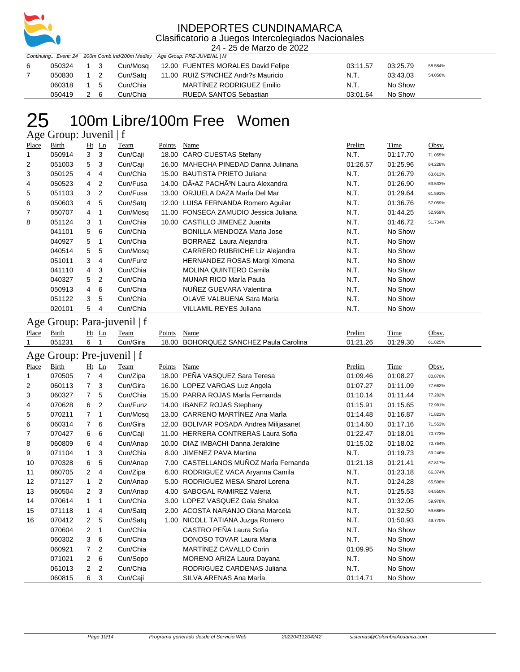

24 - 25 de Marzo de 2022 Continuing... Event: 24 200m Comb.Ind/200m Medley Age Group: PRE-JUVENIL | M

| 6 | 050324 1 3 |  |          | Cun/Mosq 12.00 FUENTES MORALES David Felipe            | 03:11.57 | 03:25.79 | 58.584% |
|---|------------|--|----------|--------------------------------------------------------|----------|----------|---------|
|   |            |  |          | 050830 1 2 Cun/Satg 11.00 RUIZ S?NCHEZ Andr?s Mauricio | N.T.     | 03:43.03 | 54.056% |
|   | 060318 1 5 |  | Cun/Chia | MARTINEZ RODRIGUEZ Emilio                              | N.T.     | No Show  |         |
|   | 050419 2 6 |  | Cun/Chia | RUEDA SANTOS Sebastian                                 | 03:01.64 | No Show  |         |

## 25 100m Libre/100m Free Women

Age Group: Juvenil | f

| Place | Birth  |             | $Ht$ Ln        | Team     | Points | Name                                            | Prelim   | Time     | Obsv.   |
|-------|--------|-------------|----------------|----------|--------|-------------------------------------------------|----------|----------|---------|
| 1     | 050914 | 3           | 3              | Cun/Caji |        | 18.00 CARO CUESTAS Stefany                      | N.T.     | 01:17.70 | 71.055% |
| 2     | 051003 | 5           | -3             | Cun/Caji |        | 16.00 MAHECHA PINEDAD Danna Julinana            | 01:26.57 | 01:25.96 | 64.228% |
| 3     | 050125 | 4           | $\overline{4}$ | Cun/Chia |        | 15.00 BAUTISTA PRIETO Juliana                   | N.T.     | 01:26.79 | 63.613% |
| 4     | 050523 | 4           | $\overline{2}$ | Cun/Fusa |        | 14.00 DÕAZ PACHÃ <sup>3</sup> N Laura Alexandra | N.T.     | 01:26.90 | 63.533% |
| 5     | 051103 | 3           | $\overline{2}$ | Cun/Fusa |        | 13.00 ORJUELA DAZA MarÍa Del Mar                | N.T.     | 01:29.64 | 61.591% |
| 6     | 050603 | 4           | 5              | Cun/Satg |        | 12.00 LUISA FERNANDA Romero Aquilar             | N.T.     | 01:36.76 | 57.059% |
| 7     | 050707 | 4           |                | Cun/Mosq |        | 11.00 FONSECA ZAMUDIO Jessica Juliana           | N.T.     | 01:44.25 | 52.959% |
| 8     | 051124 | 3           |                | Cun/Chia |        | 10.00 CASTILLO JIMENEZ Juanita                  | N.T.     | 01:46.72 | 51.734% |
|       | 041101 | 5           | 6              | Cun/Chia |        | <b>BONILLA MENDOZA Maria Jose</b>               | N.T.     | No Show  |         |
|       | 040927 | 5           |                | Cun/Chia |        | BORRAEZ Laura Alejandra                         | N.T.     | No Show  |         |
|       | 040514 | 5           | 5              | Cun/Mosq |        | CARRERO RUBRICHE Liz Alejandra                  | N.T.     | No Show  |         |
|       | 051011 | 3           | $\overline{4}$ | Cun/Funz |        | HERNANDEZ ROSAS Margi Ximena                    | N.T.     | No Show  |         |
|       | 041110 | $4 \quad 3$ |                | Cun/Chia |        | <b>MOLINA QUINTERO Camila</b>                   | N.T.     | No Show  |         |
|       | 040327 | 5           | $\overline{2}$ | Cun/Chia |        | <b>MUNAR RICO Maria Paula</b>                   | N.T.     | No Show  |         |
|       | 050913 | 4           | 6              | Cun/Chia |        | NUÑEZ GUEVARA Valentina                         | N.T.     | No Show  |         |
|       | 051122 | 3           | 5              | Cun/Chia |        | OLAVE VALBUENA Sara Maria                       | N.T.     | No Show  |         |
|       | 020101 | 5           | -4             | Cun/Chia |        | VILLAMIL REYES Juliana                          | N.T.     | No Show  |         |

Age Group: Para-juvenil | f

| Place | Birth                        | Ht Ln | Team     | Points Name                            | Prelim   | Time     | Obsv.   |
|-------|------------------------------|-------|----------|----------------------------------------|----------|----------|---------|
|       | 051231                       | -6    | Cun/Gira | 18.00 BOHORQUEZ SANCHEZ Paula Carolina | 01:21.26 | 01:29.30 | 61.825% |
|       | Age Group: Pre-juvenil $ f $ |       |          |                                        |          |          |         |

| Place | Birth  | Ht             | $\mathbf{L}$ n | Team     | Points | Name                                     | Prelim   | Time     | Obsv.   |
|-------|--------|----------------|----------------|----------|--------|------------------------------------------|----------|----------|---------|
| 1     | 070505 | $\overline{7}$ | $\overline{4}$ | Cun/Zipa | 18.00  | PEÑA VASQUEZ Sara Teresa                 | 01:09.46 | 01:08.27 | 80.870% |
| 2     | 060113 | $\overline{7}$ | 3              | Cun/Gira |        | 16.00 LOPEZ VARGAS Luz Angela            | 01:07.27 | 01:11.09 | 77.662% |
| 3     | 060327 | $\overline{7}$ | 5              | Cun/Chia |        | 15.00 PARRA ROJAS MarÍa Fernanda         | 01:10.14 | 01:11.44 | 77.282% |
| 4     | 070628 | 6              | 2              | Cun/Funz | 14.00  | <b>IBANEZ ROJAS Stephany</b>             | 01:15.91 | 01:15.65 | 72.981% |
| 5     | 070211 | 7              | $\mathbf 1$    | Cun/Mosq |        | 13.00 CARRENO MARTÍNEZ Ana MarÍa         | 01:14.48 | 01:16.87 | 71.823% |
| 6     | 060314 | $7^{\circ}$    | 6              | Cun/Gira | 12.00  | <b>BOLIVAR POSADA Andrea Milijasanet</b> | 01:14.60 | 01:17.16 | 71.553% |
| 7     | 070427 | 6              | 6              | Cun/Caji | 11.00  | <b>HERRERA CONTRERAS Laura Sofia</b>     | 01:22.47 | 01:18.01 | 70.773% |
| 8     | 060809 | 6              | $\overline{4}$ | Cun/Anap | 10.00  | DIAZ IMBACHI Danna Jeraldine             | 01:15.02 | 01:18.02 | 70.764% |
| 9     | 071104 | $\mathbf{1}$   | 3              | Cun/Chia | 8.00   | JIMENEZ PAVA Martina                     | N.T.     | 01:19.73 | 69.246% |
| 10    | 070328 | 6              | 5              | Cun/Anap | 7.00   | CASTELLANOS MUÑOZ MarÍa Fernanda         | 01:21.18 | 01:21.41 | 67.817% |
| 11    | 060705 | 2              | 4              | Cun/Zipa | 6.00   | RODRIGUEZ VACA Aryanna Camila            | N.T.     | 01:23.18 | 66.374% |
| 12    | 071127 | 1              | 2              | Cun/Anap | 5.00   | RODRIGUEZ MESA Sharol Lorena             | N.T.     | 01:24.28 | 65.508% |
| 13    | 060504 | $\mathbf{2}$   | 3              | Cun/Anap | 4.00   | <b>SABOGAL RAMIREZ Valeria</b>           | N.T.     | 01:25.53 | 64.550% |
| 14    | 070614 | $\mathbf{1}$   | 1              | Cun/Chia | 3.00   | LOPEZ VASQUEZ Gaia Shaloa                | N.T.     | 01:32.05 | 59.978% |
| 15    | 071118 | $\mathbf{1}$   | 4              | Cun/Satg | 2.00   | ACOSTA NARANJO Diana Marcela             | N.T.     | 01:32.50 | 59.686% |
| 16    | 070412 | $\mathbf{2}$   | 5              | Cun/Satq | 1.00   | NICOLL TATIANA Juzga Romero              | N.T.     | 01:50.93 | 49.770% |
|       | 070604 | 2              | 1              | Cun/Chia |        | CASTRO PEÑA Laura Sofia                  | N.T.     | No Show  |         |
|       | 060302 | 3              | 6              | Cun/Chia |        | DONOSO TOVAR Laura Maria                 | N.T.     | No Show  |         |
|       | 060921 | 7              | 2              | Cun/Chia |        | MARTÍNEZ CAVALLO Corin                   | 01:09.95 | No Show  |         |
|       | 071021 | $\overline{2}$ | 6              | Cun/Sopo |        | MORENO ARIZA Laura Dayana                | N.T.     | No Show  |         |
|       | 061013 | $\overline{2}$ | $\overline{2}$ | Cun/Chia |        | RODRIGUEZ CARDENAS Juliana               | N.T.     | No Show  |         |
|       | 060815 | 6              | 3              | Cun/Caji |        | SILVA ARENAS Ana Maria                   | 01:14.71 | No Show  |         |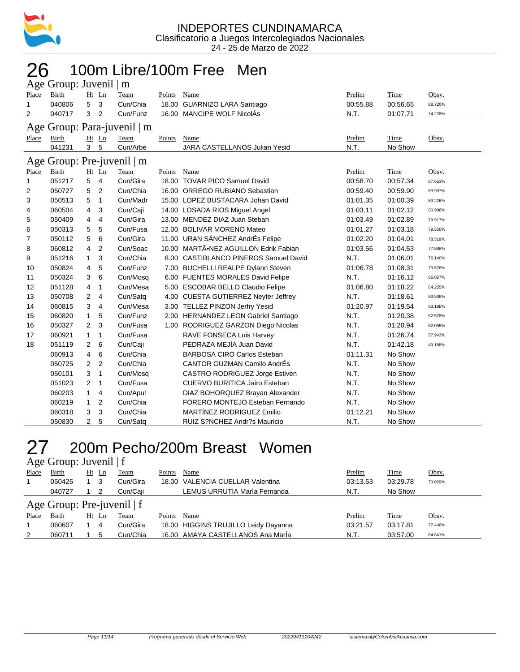

#### 100m Libre/100m Free Men Age Group: Juvenil | m

|                | $\Delta$ ge Oroup. Juvenn $\parallel$ m |                |                |                              |               |                                       |          |          |         |
|----------------|-----------------------------------------|----------------|----------------|------------------------------|---------------|---------------------------------------|----------|----------|---------|
| Place          | Birth                                   |                | Ht Ln          | Team                         | <b>Points</b> | Name                                  | Prelim   | Time     | Obsv.   |
| $\mathbf{1}$   | 040806                                  | 5              | 3              | Cun/Chia                     | 18.00         | GUARNIZO LARA Santiago                | 00:55.88 | 00:56.65 | 88.720% |
| $\overline{2}$ | 040717                                  | 3              | 2              | Cun/Funz                     | 16.00         | MANCIPE WOLF NicolÁs                  | N.T.     | 01:07.71 | 74.228% |
| Age            |                                         |                |                | Group: Para-juvenil $\mid$ m |               |                                       |          |          |         |
| Place          | Birth                                   |                | $Ht$ Ln        | Team                         | Points        | Name                                  | Prelim   | Time     | Obsv.   |
|                | 041231                                  | $\mathbf{3}$   | 5              | Cun/Arbe                     |               | JARA CASTELLANOS Julian Yesid         | N.T.     | No Show  |         |
| Age            |                                         |                |                | Group: Pre-juvenil $\mid$ m  |               |                                       |          |          |         |
| Place          | <b>Birth</b>                            |                | Ht Ln          | Team                         | Points        | Name                                  | Prelim   | Time     | Obsv.   |
| 1              | 051217                                  | 5              | $\overline{4}$ | Cun/Gira                     |               | 18.00 TOVAR PICO Samuel David         | 00:58.70 | 00:57.34 | 87.653% |
| 2              | 050727                                  | 5              | 2              | Cun/Chia                     |               | 16.00 ORREGO RUBIANO Sebastian        | 00:59.40 | 00:59.90 | 83.907% |
| 3              | 050513                                  | 5              | $\mathbf{1}$   | Cun/Madr                     |               | 15.00 LOPEZ BUSTACARA Johan David     | 01:01.35 | 01:00.39 | 83.226% |
| 4              | 060504                                  | 4              | 3              | Cun/Caji                     |               | 14.00 LOSADA RIOS Miguel Angel        | 01:03.11 | 01:02.12 | 80.908% |
| 5              | 050409                                  | 4              | 4              | Cun/Gira                     |               | 13.00 MENDEZ DIAZ Juan Steban         | 01:03.49 | 01:02.89 | 79.917% |
| 6              | 050313                                  | 5              | 5              | Cun/Fusa                     |               | 12.00 BOLIVAR MORENO Mateo            | 01:01.27 | 01:03.18 | 79.550% |
| 7              | 050112                                  | 5              | 6              | Cun/Gira                     | 11.00         | URAN SÁNCHEZ AndrÉs Felipe            | 01:02.20 | 01:04.01 | 78.519% |
| 8              | 060812                                  | 4              | $\overline{2}$ | Cun/Soac                     | 10.00         | MARTÃ.NEZ AGUILLON Edrik Fabian       | 01:03.56 | 01:04.53 | 77.886% |
| 9              | 051216                                  | 1              | 3              | Cun/Chia                     |               | 8.00 CASTIBLANCO PINEROS Samuel David | N.T.     | 01:06.01 | 76.140% |
| 10             | 050824                                  | 4              | 5              | Cun/Funz                     |               | 7.00 BUCHELLI REALPE Dylann Steven    | 01:06.78 | 01:08.31 | 73.576% |
| 11             | 050324                                  | 3              | 6              | Cun/Mosq                     |               | 6.00 FUENTES MORALES David Felipe     | N.T.     | 01:16.12 | 66.027% |
| 12             | 051128                                  | 4              | $\mathbf{1}$   | Cun/Mesa                     |               | 5.00 ESCOBAR BELLO Claudio Felipe     | 01:06.80 | 01:18.22 | 64.255% |
| 13             | 050708                                  | $\overline{2}$ | 4              | Cun/Satq                     |               | 4.00 CUESTA GUTIERREZ Neyfer Jeffrey  | N.T.     | 01:18.61 | 63.936% |
| 14             | 060815                                  | 3              | 4              | Cun/Mesa                     |               | 3.00 TELLEZ PINZON Jerfry Yesid       | 01:20.97 | 01:19.54 | 63.188% |
| 15             | 060820                                  | 1              | 5              | Cun/Funz                     |               | 2.00 HERNANDEZ LEON Gabriel Santiago  | N.T.     | 01:20.38 | 62.528% |
| 16             | 050327                                  | 2              | 3              | Cun/Fusa                     |               | 1.00 RODRIGUEZ GARZON Diego Nicolas   | N.T.     | 01:20.94 | 62.095% |
| 17             | 060921                                  | 1              | 1              | Cun/Fusa                     |               | RAVE FONSECA Luis Harvey              | N.T.     | 01:26.74 | 57.943% |
| 18             | 051119                                  | 2              | 6              | Cun/Caji                     |               | PEDRAZA MEJÍA Juan David              | N.T.     | 01:42.18 | 49.188% |
|                | 060913                                  | 4              | 6              | Cun/Chia                     |               | <b>BARBOSA CIRO Carlos Esteban</b>    | 01:11.31 | No Show  |         |
|                | 050725                                  | $\overline{2}$ | $\overline{2}$ | Cun/Chia                     |               | <b>CANTOR GUZMAN Camilo AndrÉs</b>    | N.T.     | No Show  |         |
|                | 050101                                  | 3              | 1              | Cun/Mosq                     |               | CASTRO RODRIGUEZ Jorge Estiven        | N.T.     | No Show  |         |
|                | 051023                                  | $\overline{2}$ | $\mathbf{1}$   | Cun/Fusa                     |               | <b>CUERVO BURITICA Jairo Esteban</b>  | N.T.     | No Show  |         |
|                | 060203                                  | 1              | 4              | Cun/Apul                     |               | DIAZ BOHORQUEZ Brayan Alexander       | N.T.     | No Show  |         |
|                | 060219                                  | 1              | 2              | Cun/Chia                     |               | FORERO MONTEJO Esteban Fernando       | N.T.     | No Show  |         |
|                | 060318                                  | 3              | 3              | Cun/Chia                     |               | MARTÍNEZ RODRIGUEZ Emilio             | 01:12.21 | No Show  |         |
|                | 050830                                  | 2              | 5              | Cun/Satq                     |               | RUIZ S?NCHEZ Andr?s Mauricio          | N.T.     | No Show  |         |

## 200m Pecho/200m Breast Women

| Age Group: Juvenil   f |  |  |
|------------------------|--|--|
|------------------------|--|--|

| Place | Birth        | $Ht$ Ln | Team                         | Points<br>Name                       | Prelim   | <b>Time</b> | Obsv.   |
|-------|--------------|---------|------------------------------|--------------------------------------|----------|-------------|---------|
|       | 050425       | - 3     | Cun/Gira                     | 18.00 VALENCIA CUELLAR Valentina     | 03:13.53 | 03:29.78    | 73.029% |
|       | 040727       |         | Cun/Caii                     | LEMUS URRUTIA MarÍa Fernanda         | N.T.     | No Show     |         |
|       |              |         | Age Group: Pre-juvenil $ f $ |                                      |          |             |         |
| Place | <b>Birth</b> | Ht Ln   | Team                         | Name<br>Points                       | Prelim   | Time        | Obsv.   |
|       | 060607       | 4       | Cun/Gira                     | 18.00 HIGGINS TRUJILLO Leidy Dayanna | 03:21.57 | 03:17.81    | 77.448% |
| 2     | 060711       | 5       | Cun/Chia                     | 16.00 AMAYA CASTELLANOS Ana MarÍa    | N.T.     | 03:57.00    | 64.641% |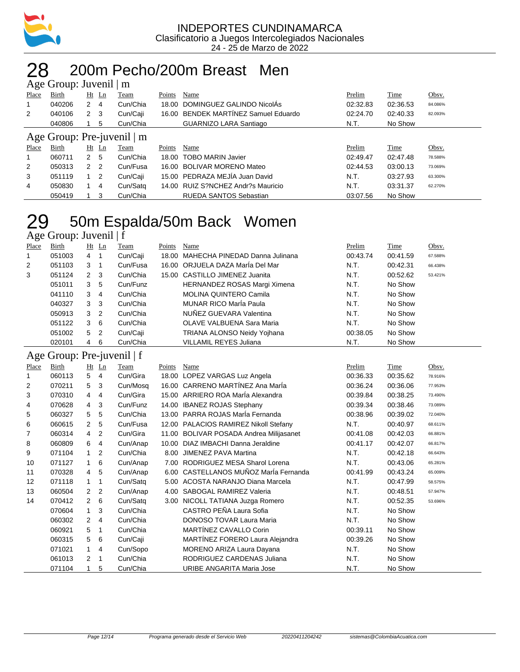

#### 28 200m Pecho/200m Breast Men Age Group: Juvenil | m

|                | $T_{\rm X}$ UIUup. Juvulil   III |                |            |                            |        |                                      |          |          |         |
|----------------|----------------------------------|----------------|------------|----------------------------|--------|--------------------------------------|----------|----------|---------|
| Place          | Birth                            |                | $Ht$ Ln    | Team                       | Points | Name                                 | Prelim   | Time     | Obsv.   |
|                | 040206                           | 2              | 4          | Cun/Chia                   |        | 18.00 DOMINGUEZ GALINDO NicolÁs      | 02:32.83 | 02:36.53 | 84.086% |
| 2              | 040106                           | 2 <sub>3</sub> |            | Cun/Caji                   |        | 16.00 BENDEK MARTINEZ Samuel Eduardo | 02:24.70 | 02:40.33 | 82.093% |
|                | 040806                           |                | 5          | Cun/Chia                   |        | <b>GUARNIZO LARA Santiago</b>        | N.T.     | No Show  |         |
|                |                                  |                |            | Age Group: Pre-juvenil   m |        |                                      |          |          |         |
| Place          | Birth                            |                | $Ht$ Ln    | Team                       | Points | Name                                 | Prelim   | Time     | Obsv.   |
|                | 060711                           | 2 <sub>5</sub> |            | Cun/Chia                   |        | 18.00 TOBO MARIN Javier              | 02:49.47 | 02:47.48 | 78.588% |
| $\overline{2}$ | 050313                           | 2 <sub>2</sub> |            | Cun/Fusa                   |        | 16.00 BOLIVAR MORENO Mateo           | 02:44.53 | 03:00.13 | 73.069% |
|                |                                  |                |            |                            |        |                                      |          |          |         |
| 3              | 051119                           |                | $1\quad 2$ | Cun/Caji                   |        | 15.00 PEDRAZA MEJÍA Juan David       | N.T.     | 03:27.93 | 63.300% |
| 4              | 050830                           |                | 4          | Cun/Satg                   |        | 14.00 RUIZ S?NCHEZ Andr?s Mauricio   | N.T.     | 03:31.37 | 62.270% |

# 50m Espalda/50m Back Women

| Age Group: Juvenil   f |  |  |
|------------------------|--|--|
|                        |  |  |

| Place          | Birth  |                | $Ht$ Ln        | Team     | Points | Name                                 | Prelim   | Time     | Obsv.   |
|----------------|--------|----------------|----------------|----------|--------|--------------------------------------|----------|----------|---------|
|                | 051003 | 4              | -1             | Cun/Caji |        | 18.00 MAHECHA PINEDAD Danna Julinana | 00:43.74 | 00:41.59 | 67.588% |
| $\overline{2}$ | 051103 | 3              |                | Cun/Fusa |        | 16.00 ORJUELA DAZA MarÍa Del Mar     | N.T.     | 00:42.31 | 66.438% |
| 3              | 051124 | $2 \quad 3$    |                | Cun/Chia |        | 15.00 CASTILLO JIMENEZ Juanita       | N.T.     | 00:52.62 | 53.421% |
|                | 051011 | 3              | 5              | Cun/Funz |        | HERNANDEZ ROSAS Margi Ximena         | N.T.     | No Show  |         |
|                | 041110 | 3              | 4              | Cun/Chia |        | <b>MOLINA QUINTERO Camila</b>        | N.T.     | No Show  |         |
|                | 040327 | 3 <sub>3</sub> |                | Cun/Chia |        | <b>MUNAR RICO MarÍa Paula</b>        | N.T.     | No Show  |         |
|                | 050913 | 3              | -2             | Cun/Chia |        | NUÑEZ GUEVARA Valentina              | N.T.     | No Show  |         |
|                | 051122 | 3              | -6             | Cun/Chia |        | OLAVE VALBUENA Sara Maria            | N.T.     | No Show  |         |
|                | 051002 | 5              | $\overline{2}$ | Cun/Caji |        | TRIANA ALONSO Neidy Yojhana          | 00:38.05 | No Show  |         |
|                | 020101 | 4              | 6              | Cun/Chia |        | <b>VILLAMIL REYES Juliana</b>        | N.T.     | No Show  |         |

#### Age Group: Pre-juvenil | f

| Place | Birth  |                | Ht Ln          | Team     | Points | Name                                    | Prelim   | Time     | Obsv.   |
|-------|--------|----------------|----------------|----------|--------|-----------------------------------------|----------|----------|---------|
| 1     | 060113 | 5              | 4              | Cun/Gira | 18.00  | LOPEZ VARGAS Luz Angela                 | 00:36.33 | 00:35.62 | 78.916% |
| 2     | 070211 | 5              | 3              | Cun/Mosq |        | 16.00 CARRENO MARTÍNEZ Ana MarÍa        | 00:36.24 | 00:36.06 | 77.953% |
| 3     | 070310 | 4              | 4              | Cun/Gira |        | 15.00 ARRIERO ROA MarÍa Alexandra       | 00:39.84 | 00:38.25 | 73.490% |
| 4     | 070628 | 4              | 3              | Cun/Funz | 14.00  | <b>IBANEZ ROJAS Stephany</b>            | 00:39.34 | 00:38.46 | 73.089% |
| 5     | 060327 | 5              | 5              | Cun/Chia | 13.00  | PARRA ROJAS MarÍa Fernanda              | 00:38.96 | 00:39.02 | 72.040% |
| 6     | 060615 | $\overline{2}$ | 5              | Cun/Fusa | 12.00  | PALACIOS RAMIREZ Nikoll Stefany         | N.T.     | 00:40.97 | 68.611% |
| 7     | 060314 | 4              | $\overline{2}$ | Cun/Gira |        | 11.00 BOLIVAR POSADA Andrea Milijasanet | 00:41.08 | 00:42.03 | 66.881% |
| 8     | 060809 | 6              | 4              | Cun/Anap | 10.00  | DIAZ IMBACHI Danna Jeraldine            | 00:41.17 | 00:42.07 | 66.817% |
| 9     | 071104 | $\mathbf 1$    | 2              | Cun/Chia | 8.00   | <b>JIMENEZ PAVA Martina</b>             | N.T.     | 00:42.18 | 66.643% |
| 10    | 071127 | 1              | 6              | Cun/Anap | 7.00   | RODRIGUEZ MESA Sharol Lorena            | N.T.     | 00:43.06 | 65.281% |
| 11    | 070328 | 4              | 5              | Cun/Anap | 6.00   | CASTELLANOS MUÑOZ MarÍa Fernanda        | 00:41.99 | 00:43.24 | 65.009% |
| 12    | 071118 | 1              | 1              | Cun/Satg | 5.00   | ACOSTA NARANJO Diana Marcela            | N.T.     | 00:47.99 | 58.575% |
| 13    | 060504 | $\overline{2}$ | $\overline{2}$ | Cun/Anap | 4.00   | SABOGAL RAMIREZ Valeria                 | N.T.     | 00:48.51 | 57.947% |
| 14    | 070412 | $\overline{2}$ | 6              | Cun/Satq |        | 3.00 NICOLL TATIANA Juzga Romero        | N.T.     | 00:52.35 | 53.696% |
|       | 070604 | $\mathbf 1$    | 3              | Cun/Chia |        | CASTRO PEÑA Laura Sofia                 | N.T.     | No Show  |         |
|       | 060302 | $\overline{2}$ | 4              | Cun/Chia |        | <b>DONOSO TOVAR Laura Maria</b>         | N.T.     | No Show  |         |
|       | 060921 | 5              | 1              | Cun/Chia |        | MARTÍNEZ CAVALLO Corin                  | 00:39.11 | No Show  |         |
|       | 060315 | 5              | 6              | Cun/Caji |        | MARTINEZ FORERO Laura Alejandra         | 00:39.26 | No Show  |         |
|       | 071021 | 1              | 4              | Cun/Sopo |        | MORENO ARIZA Laura Dayana               | N.T.     | No Show  |         |
|       | 061013 | 2              | $\mathbf 1$    | Cun/Chia |        | RODRIGUEZ CARDENAS Juliana              | N.T.     | No Show  |         |
|       | 071104 |                | 5              | Cun/Chia |        | URIBE ANGARITA Maria Jose               | N.T.     | No Show  |         |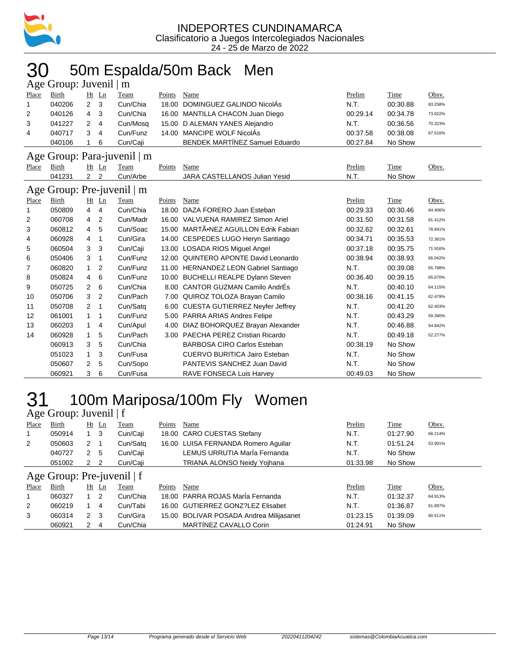

### 50m Espalda/50m Back Men

|       | Age Group: Juvenil   m |                |                |                             |        |                                        |          |          |         |
|-------|------------------------|----------------|----------------|-----------------------------|--------|----------------------------------------|----------|----------|---------|
| Place | <b>Birth</b>           |                | Ht Ln          | Team                        | Points | Name                                   | Prelim   | Time     | Obsv.   |
| 1     | 040206                 | $\overline{2}$ | 3              | Cun/Chia                    | 18.00  | DOMINGUEZ GALINDO NicolÁs              | N.T.     | 00:30.88 | 83.258% |
| 2     | 040126                 | 4              | 3              | Cun/Chia                    | 16.00  | MANTILLA CHACON Juan Diego             | 00:29.14 | 00:34.78 | 73.922% |
| 3     | 041227                 | 2              | 4              | Cun/Mosq                    | 15.00  | D ALEMAN YANES Alejandro               | N.T.     | 00:36.56 | 70.323% |
| 4     | 040717                 | 3              | 4              | Cun/Funz                    |        | 14.00 MANCIPE WOLF NicolÁs             | 00:37.58 | 00:38.08 | 67.516% |
|       | 040106                 | 1              | 6              | Cun/Caji                    |        | <b>BENDEK MARTÍNEZ Samuel Eduardo</b>  | 00:27.84 | No Show  |         |
|       |                        |                |                | Age Group: Para-juvenil   m |        |                                        |          |          |         |
| Place | <b>Birth</b>           |                | Ht Ln          | Team                        | Points | <b>Name</b>                            | Prelim   | Time     | Obsv.   |
|       | 041231                 | $\overline{2}$ | $\overline{2}$ | Cun/Arbe                    |        | <b>JARA CASTELLANOS Julian Yesid</b>   | N.T.     | No Show  |         |
|       |                        |                |                | Age Group: Pre-juvenil   m  |        |                                        |          |          |         |
| Place | Birth                  |                | $Ht$ Ln        | Team                        | Points | Name                                   | Prelim   | Time     | Obsv.   |
| 1     | 050809                 | 4              | 4              | Cun/Chia                    | 18.00  | DAZA FORERO Juan Esteban               | 00:29.33 | 00:30.46 | 84.406% |
| 2     | 060708                 | 4              | 2              | Cun/Madr                    |        | 16.00 VALVUENA RAMIREZ Simon Ariel     | 00:31.50 | 00:31.58 | 81.412% |
| 3     | 060812                 | 4              | 5              | Cun/Soac                    | 15.00  | MARTÃ.NEZ AGUILLON Edrik Fabian        | 00:32.62 | 00:32.61 | 78.841% |
| 4     | 060928                 | 4              | 1              | Cun/Gira                    |        | 14.00 CESPEDES LUGO Heryn Santiago     | 00:34.71 | 00:35.53 | 72.361% |
| 5     | 060504                 | 3              | 3              | Cun/Caji                    |        | 13.00 LOSADA RIOS Miquel Angel         | 00:37.18 | 00:35.75 | 71.916% |
| 6     | 050406                 | 3              | 1              | Cun/Funz                    |        | 12.00 QUINTERO APONTE David Leonardo   | 00:38.94 | 00:38.93 | 66.042% |
| 7     | 060820                 | 1              | 2              | Cun/Funz                    |        | 11.00 HERNANDEZ LEON Gabriel Santiago  | N.T.     | 00:39.08 | 65.788% |
| 8     | 050824                 | 4              | 6              | Cun/Funz                    | 10.00  | <b>BUCHELLI REALPE Dylann Steven</b>   | 00:36.40 | 00:39.15 | 65.670% |
| 9     | 050725                 | 2              | 6              | Cun/Chia                    | 8.00   | CANTOR GUZMAN Camilo AndrÉs            | N.T.     | 00:40.10 | 64.115% |
| 10    | 050706                 | 3              | 2              | Cun/Pach                    | 7.00   | QUIROZ TOLOZA Brayan Camilo            | 00:38.16 | 00:41.15 | 62.479% |
| 11    | 050708                 | 2              | 1              | Cun/Satq                    | 6.00   | <b>CUESTA GUTIERREZ Neyfer Jeffrey</b> | N.T.     | 00:41.20 | 62.403% |
| 12    | 061001                 | 1              | 1              | Cun/Funz                    |        | 5.00 PARRA ARIAS Andres Felipe         | N.T.     | 00:43.29 | 59.390% |
| 13    | 060203                 | 1              | 4              | Cun/Apul                    | 4.00   | DIAZ BOHORQUEZ Brayan Alexander        | N.T.     | 00:46.88 | 54.842% |
| 14    | 060928                 | 1              | 5              | Cun/Pach                    |        | 3.00 PAECHA PEREZ Cristian Ricardo     | N.T.     | 00:49.18 | 52.277% |
|       | 060913                 | 3              | 5              | Cun/Chia                    |        | <b>BARBOSA CIRO Carlos Esteban</b>     | 00:38.19 | No Show  |         |
|       | 051023                 | 1              | 3              | Cun/Fusa                    |        | <b>CUERVO BURITICA Jairo Esteban</b>   | N.T.     | No Show  |         |
|       | 050607                 | 2              | 5              | Cun/Sopo                    |        | PANTEVIS SANCHEZ Juan David            | N.T.     | No Show  |         |
|       | 060921                 | 3              | 6              | Cun/Fusa                    |        | RAVE FONSECA Luis Harvey               | 00:49.03 | No Show  |         |

# 31 100m Mariposa/100m Fly Women

|                                                | Age Group: Juvenil $ f $ |                |                |          |        |                                         |          |          |         |
|------------------------------------------------|--------------------------|----------------|----------------|----------|--------|-----------------------------------------|----------|----------|---------|
| Place                                          | Birth                    |                | <u>Ht Ln</u>   | Team     | Points | Name                                    | Prelim   | Time     | Obsv.   |
|                                                | 050914                   |                | $1 \quad 3$    | Cun/Caji |        | 18.00 CARO CUESTAS Stefany              | N.T.     | 01:27.90 | 68.214% |
| 2                                              | 050603                   | $2 \quad 1$    |                | Cun/Satg |        | 16.00 LUISA FERNANDA Romero Aguilar     | N.T.     | 01:51.24 | 53.901% |
|                                                | 040727                   | 2 <sub>5</sub> |                | Cun/Caji |        | LEMUS URRUTIA MarÍa Fernanda            | N.T.     | No Show  |         |
|                                                | 051002                   |                |                | Cun/Caii |        | <b>TRIANA ALONSO Neidy Yoihana</b>      | 01:33.98 | No Show  |         |
| 2 <sub>2</sub><br>Age Group: Pre-juvenil $ f $ |                          |                |                |          |        |                                         |          |          |         |
|                                                |                          |                |                |          |        |                                         |          |          |         |
| Place                                          | Birth                    |                | Ht Ln          | Team     | Points | Name                                    | Prelim   | Time     | Obsv.   |
|                                                | 060327                   | $1\quad 2$     |                | Cun/Chia |        | 18.00 PARRA ROJAS MarÍa Fernanda        | N.T.     | 01:32.37 | 64.913% |
| $\overline{2}$                                 | 060219                   |                | $\overline{4}$ | Cun/Tabi |        | 16.00 GUTIERREZ GONZ?LEZ Elisabet       | N.T.     | 01:36.87 | 61.897% |
| 3                                              | 060314                   | 2 <sub>3</sub> |                | Cun/Gira |        | 15.00 BOLIVAR POSADA Andrea Milijasanet | 01:23.15 | 01:39.09 | 60.511% |